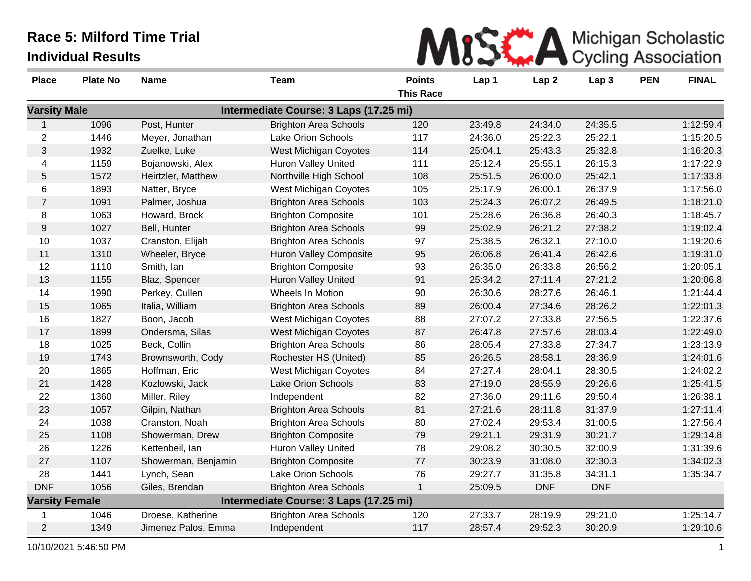| MISS A Michigan Scholastic |
|----------------------------|
|                            |

| <b>Place</b>          | <b>Plate No</b> | <b>Name</b>         | <b>Team</b>                            | <b>Points</b>    | Lap 1   | Lap <sub>2</sub> | Lap <sub>3</sub> | <b>PEN</b> | <b>FINAL</b> |
|-----------------------|-----------------|---------------------|----------------------------------------|------------------|---------|------------------|------------------|------------|--------------|
|                       |                 |                     |                                        | <b>This Race</b> |         |                  |                  |            |              |
| <b>Varsity Male</b>   |                 |                     | Intermediate Course: 3 Laps (17.25 mi) |                  |         |                  |                  |            |              |
| $\mathbf{1}$          | 1096            | Post, Hunter        | <b>Brighton Area Schools</b>           | 120              | 23:49.8 | 24:34.0          | 24:35.5          |            | 1:12:59.4    |
| 2                     | 1446            | Meyer, Jonathan     | Lake Orion Schools                     | 117              | 24:36.0 | 25:22.3          | 25:22.1          |            | 1:15:20.5    |
| $\mathfrak{S}$        | 1932            | Zuelke, Luke        | West Michigan Coyotes                  | 114              | 25:04.1 | 25:43.3          | 25:32.8          |            | 1:16:20.3    |
| 4                     | 1159            | Bojanowski, Alex    | <b>Huron Valley United</b>             | 111              | 25:12.4 | 25:55.1          | 26:15.3          |            | 1:17:22.9    |
| 5                     | 1572            | Heirtzler, Matthew  | Northville High School                 | 108              | 25:51.5 | 26:00.0          | 25:42.1          |            | 1:17:33.8    |
| 6                     | 1893            | Natter, Bryce       | <b>West Michigan Coyotes</b>           | 105              | 25:17.9 | 26:00.1          | 26:37.9          |            | 1:17:56.0    |
| $\overline{7}$        | 1091            | Palmer, Joshua      | <b>Brighton Area Schools</b>           | 103              | 25:24.3 | 26:07.2          | 26:49.5          |            | 1:18:21.0    |
| 8                     | 1063            | Howard, Brock       | <b>Brighton Composite</b>              | 101              | 25:28.6 | 26:36.8          | 26:40.3          |            | 1:18:45.7    |
| $9\,$                 | 1027            | Bell, Hunter        | <b>Brighton Area Schools</b>           | 99               | 25:02.9 | 26:21.2          | 27:38.2          |            | 1:19:02.4    |
| 10                    | 1037            | Cranston, Elijah    | <b>Brighton Area Schools</b>           | 97               | 25:38.5 | 26:32.1          | 27:10.0          |            | 1:19:20.6    |
| 11                    | 1310            | Wheeler, Bryce      | <b>Huron Valley Composite</b>          | 95               | 26:06.8 | 26:41.4          | 26:42.6          |            | 1:19:31.0    |
| 12                    | 1110            | Smith, Ian          | <b>Brighton Composite</b>              | 93               | 26:35.0 | 26:33.8          | 26:56.2          |            | 1:20:05.1    |
| 13                    | 1155            | Blaz, Spencer       | Huron Valley United                    | 91               | 25:34.2 | 27:11.4          | 27:21.2          |            | 1:20:06.8    |
| 14                    | 1990            | Perkey, Cullen      | Wheels In Motion                       | 90               | 26:30.6 | 28:27.6          | 26:46.1          |            | 1:21:44.4    |
| 15                    | 1065            | Italia, William     | <b>Brighton Area Schools</b>           | 89               | 26:00.4 | 27:34.6          | 28:26.2          |            | 1:22:01.3    |
| 16                    | 1827            | Boon, Jacob         | West Michigan Coyotes                  | 88               | 27:07.2 | 27:33.8          | 27:56.5          |            | 1:22:37.6    |
| 17                    | 1899            | Ondersma, Silas     | West Michigan Coyotes                  | 87               | 26:47.8 | 27:57.6          | 28:03.4          |            | 1:22:49.0    |
| 18                    | 1025            | Beck, Collin        | <b>Brighton Area Schools</b>           | 86               | 28:05.4 | 27:33.8          | 27:34.7          |            | 1:23:13.9    |
| 19                    | 1743            | Brownsworth, Cody   | Rochester HS (United)                  | 85               | 26:26.5 | 28:58.1          | 28:36.9          |            | 1:24:01.6    |
| 20                    | 1865            | Hoffman, Eric       | <b>West Michigan Coyotes</b>           | 84               | 27:27.4 | 28:04.1          | 28:30.5          |            | 1:24:02.2    |
| 21                    | 1428            | Kozlowski, Jack     | Lake Orion Schools                     | 83               | 27:19.0 | 28:55.9          | 29:26.6          |            | 1:25:41.5    |
| 22                    | 1360            | Miller, Riley       | Independent                            | 82               | 27:36.0 | 29:11.6          | 29:50.4          |            | 1:26:38.1    |
| 23                    | 1057            | Gilpin, Nathan      | <b>Brighton Area Schools</b>           | 81               | 27:21.6 | 28:11.8          | 31:37.9          |            | 1:27:11.4    |
| 24                    | 1038            | Cranston, Noah      | <b>Brighton Area Schools</b>           | 80               | 27:02.4 | 29:53.4          | 31:00.5          |            | 1:27:56.4    |
| 25                    | 1108            | Showerman, Drew     | <b>Brighton Composite</b>              | 79               | 29:21.1 | 29:31.9          | 30:21.7          |            | 1:29:14.8    |
| 26                    | 1226            | Kettenbeil, lan     | Huron Valley United                    | 78               | 29:08.2 | 30:30.5          | 32:00.9          |            | 1:31:39.6    |
| 27                    | 1107            | Showerman, Benjamin | <b>Brighton Composite</b>              | 77               | 30:23.9 | 31:08.0          | 32:30.3          |            | 1:34:02.3    |
| 28                    | 1441            | Lynch, Sean         | Lake Orion Schools                     | 76               | 29:27.7 | 31:35.8          | 34:31.1          |            | 1:35:34.7    |
| <b>DNF</b>            | 1056            | Giles, Brendan      | <b>Brighton Area Schools</b>           | $\mathbf{1}$     | 25:09.5 | <b>DNF</b>       | <b>DNF</b>       |            |              |
| <b>Varsity Female</b> |                 |                     | Intermediate Course: 3 Laps (17.25 mi) |                  |         |                  |                  |            |              |
| 1                     | 1046            | Droese, Katherine   | <b>Brighton Area Schools</b>           | 120              | 27:33.7 | 28:19.9          | 29:21.0          |            | 1:25:14.7    |
| $\overline{2}$        | 1349            | Jimenez Palos, Emma | Independent                            | 117              | 28:57.4 | 29:52.3          | 30:20.9          |            | 1:29:10.6    |

and the control of the control of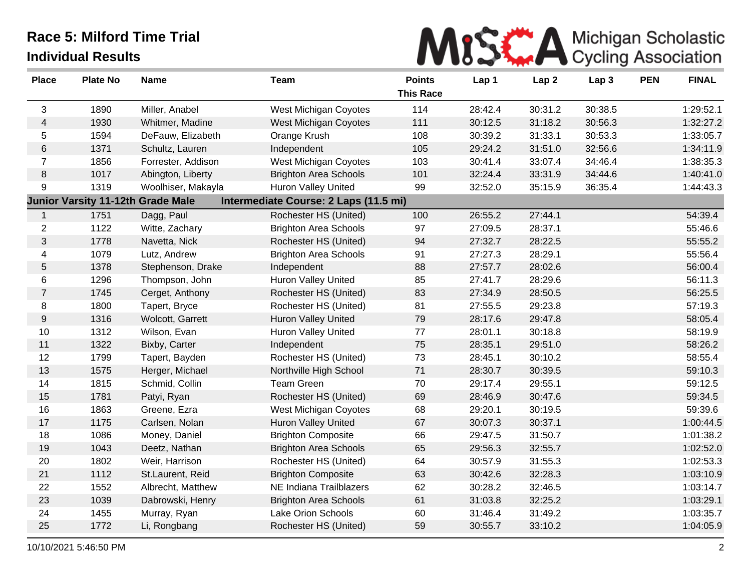

| <b>Place</b>   | <b>Plate No</b> | <b>Name</b>                              | <b>Team</b>                           | <b>Points</b><br><b>This Race</b> | Lap 1   | Lap <sub>2</sub> | Lap <sub>3</sub> | <b>PEN</b> | <b>FINAL</b> |
|----------------|-----------------|------------------------------------------|---------------------------------------|-----------------------------------|---------|------------------|------------------|------------|--------------|
| 3              | 1890            | Miller, Anabel                           | <b>West Michigan Coyotes</b>          | 114                               | 28:42.4 | 30:31.2          | 30:38.5          |            | 1:29:52.1    |
| $\overline{4}$ | 1930            | Whitmer, Madine                          | West Michigan Coyotes                 | 111                               | 30:12.5 | 31:18.2          | 30:56.3          |            | 1:32:27.2    |
| 5              | 1594            | DeFauw, Elizabeth                        | Orange Krush                          | 108                               | 30:39.2 | 31:33.1          | 30:53.3          |            | 1:33:05.7    |
| $\,6$          | 1371            | Schultz, Lauren                          | Independent                           | 105                               | 29:24.2 | 31:51.0          | 32:56.6          |            | 1:34:11.9    |
| $\overline{7}$ | 1856            | Forrester, Addison                       | <b>West Michigan Coyotes</b>          | 103                               | 30:41.4 | 33:07.4          | 34:46.4          |            | 1:38:35.3    |
| $\,8\,$        | 1017            | Abington, Liberty                        | <b>Brighton Area Schools</b>          | 101                               | 32:24.4 | 33:31.9          | 34:44.6          |            | 1:40:41.0    |
| 9              | 1319            | Woolhiser, Makayla                       | Huron Valley United                   | 99                                | 32:52.0 | 35:15.9          | 36:35.4          |            | 1:44:43.3    |
|                |                 | <b>Junior Varsity 11-12th Grade Male</b> | Intermediate Course: 2 Laps (11.5 mi) |                                   |         |                  |                  |            |              |
| 1              | 1751            | Dagg, Paul                               | Rochester HS (United)                 | 100                               | 26:55.2 | 27:44.1          |                  |            | 54:39.4      |
| $\overline{c}$ | 1122            | Witte, Zachary                           | <b>Brighton Area Schools</b>          | 97                                | 27:09.5 | 28:37.1          |                  |            | 55:46.6      |
| 3              | 1778            | Navetta, Nick                            | Rochester HS (United)                 | 94                                | 27:32.7 | 28:22.5          |                  |            | 55:55.2      |
| 4              | 1079            | Lutz, Andrew                             | <b>Brighton Area Schools</b>          | 91                                | 27:27.3 | 28:29.1          |                  |            | 55:56.4      |
| $\mathbf 5$    | 1378            | Stephenson, Drake                        | Independent                           | 88                                | 27:57.7 | 28:02.6          |                  |            | 56:00.4      |
| 6              | 1296            | Thompson, John                           | <b>Huron Valley United</b>            | 85                                | 27:41.7 | 28:29.6          |                  |            | 56:11.3      |
| $\overline{7}$ | 1745            | Cerget, Anthony                          | Rochester HS (United)                 | 83                                | 27:34.9 | 28:50.5          |                  |            | 56:25.5      |
| 8              | 1800            | Tapert, Bryce                            | Rochester HS (United)                 | 81                                | 27:55.5 | 29:23.8          |                  |            | 57:19.3      |
| $9\,$          | 1316            | Wolcott, Garrett                         | <b>Huron Valley United</b>            | 79                                | 28:17.6 | 29:47.8          |                  |            | 58:05.4      |
| 10             | 1312            | Wilson, Evan                             | Huron Valley United                   | $77\,$                            | 28:01.1 | 30:18.8          |                  |            | 58:19.9      |
| 11             | 1322            | Bixby, Carter                            | Independent                           | 75                                | 28:35.1 | 29:51.0          |                  |            | 58:26.2      |
| 12             | 1799            | Tapert, Bayden                           | Rochester HS (United)                 | 73                                | 28:45.1 | 30:10.2          |                  |            | 58:55.4      |
| 13             | 1575            | Herger, Michael                          | Northville High School                | 71                                | 28:30.7 | 30:39.5          |                  |            | 59:10.3      |
| 14             | 1815            | Schmid, Collin                           | <b>Team Green</b>                     | 70                                | 29:17.4 | 29:55.1          |                  |            | 59:12.5      |
| 15             | 1781            | Patyi, Ryan                              | Rochester HS (United)                 | 69                                | 28:46.9 | 30:47.6          |                  |            | 59:34.5      |
| 16             | 1863            | Greene, Ezra                             | West Michigan Coyotes                 | 68                                | 29:20.1 | 30:19.5          |                  |            | 59:39.6      |
| 17             | 1175            | Carlsen, Nolan                           | <b>Huron Valley United</b>            | 67                                | 30:07.3 | 30:37.1          |                  |            | 1:00:44.5    |
| 18             | 1086            | Money, Daniel                            | <b>Brighton Composite</b>             | 66                                | 29:47.5 | 31:50.7          |                  |            | 1:01:38.2    |
| 19             | 1043            | Deetz, Nathan                            | <b>Brighton Area Schools</b>          | 65                                | 29:56.3 | 32:55.7          |                  |            | 1:02:52.0    |
| 20             | 1802            | Weir, Harrison                           | Rochester HS (United)                 | 64                                | 30:57.9 | 31:55.3          |                  |            | 1:02:53.3    |
| 21             | 1112            | St.Laurent, Reid                         | <b>Brighton Composite</b>             | 63                                | 30:42.6 | 32:28.3          |                  |            | 1:03:10.9    |
| 22             | 1552            | Albrecht, Matthew                        | NE Indiana Trailblazers               | 62                                | 30:28.2 | 32:46.5          |                  |            | 1:03:14.7    |
| 23             | 1039            | Dabrowski, Henry                         | <b>Brighton Area Schools</b>          | 61                                | 31:03.8 | 32:25.2          |                  |            | 1:03:29.1    |
| 24             | 1455            | Murray, Ryan                             | Lake Orion Schools                    | 60                                | 31:46.4 | 31:49.2          |                  |            | 1:03:35.7    |
| 25             | 1772            | Li, Rongbang                             | Rochester HS (United)                 | 59                                | 30:55.7 | 33:10.2          |                  |            | 1:04:05.9    |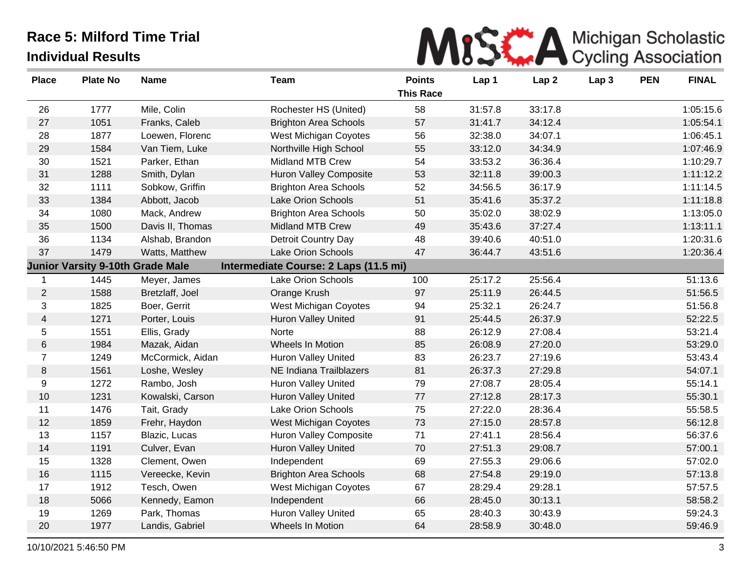

| <b>Place</b>   | <b>Plate No</b>                         | <b>Name</b>      | <b>Team</b>                           | <b>Points</b><br><b>This Race</b> | Lap 1   | Lap <sub>2</sub> | Lap <sub>3</sub> | <b>PEN</b> | <b>FINAL</b> |
|----------------|-----------------------------------------|------------------|---------------------------------------|-----------------------------------|---------|------------------|------------------|------------|--------------|
| 26             | 1777                                    | Mile, Colin      | Rochester HS (United)                 | 58                                | 31:57.8 | 33:17.8          |                  |            | 1:05:15.6    |
| 27             | 1051                                    | Franks, Caleb    | <b>Brighton Area Schools</b>          | 57                                | 31:41.7 | 34:12.4          |                  |            | 1:05:54.1    |
| 28             | 1877                                    | Loewen, Florenc  | West Michigan Coyotes                 | 56                                | 32:38.0 | 34:07.1          |                  |            | 1:06:45.1    |
| 29             | 1584                                    | Van Tiem, Luke   | Northville High School                | 55                                | 33:12.0 | 34:34.9          |                  |            | 1:07:46.9    |
| 30             | 1521                                    | Parker, Ethan    | Midland MTB Crew                      | 54                                | 33:53.2 | 36:36.4          |                  |            | 1:10:29.7    |
| 31             | 1288                                    | Smith, Dylan     | Huron Valley Composite                | 53                                | 32:11.8 | 39:00.3          |                  |            | 1:11:12.2    |
| 32             | 1111                                    | Sobkow, Griffin  | <b>Brighton Area Schools</b>          | 52                                | 34:56.5 | 36:17.9          |                  |            | 1:11:14.5    |
| 33             | 1384                                    | Abbott, Jacob    | <b>Lake Orion Schools</b>             | 51                                | 35:41.6 | 35:37.2          |                  |            | 1:11:18.8    |
| 34             | 1080                                    | Mack, Andrew     | <b>Brighton Area Schools</b>          | 50                                | 35:02.0 | 38:02.9          |                  |            | 1:13:05.0    |
| 35             | 1500                                    | Davis II, Thomas | <b>Midland MTB Crew</b>               | 49                                | 35:43.6 | 37:27.4          |                  |            | 1:13:11.1    |
| 36             | 1134                                    | Alshab, Brandon  | Detroit Country Day                   | 48                                | 39:40.6 | 40:51.0          |                  |            | 1:20:31.6    |
| 37             | 1479                                    | Watts, Matthew   | Lake Orion Schools                    | 47                                | 36:44.7 | 43:51.6          |                  |            | 1:20:36.4    |
|                | <b>Junior Varsity 9-10th Grade Male</b> |                  | Intermediate Course: 2 Laps (11.5 mi) |                                   |         |                  |                  |            |              |
| 1              | 1445                                    | Meyer, James     | Lake Orion Schools                    | 100                               | 25:17.2 | 25:56.4          |                  |            | 51:13.6      |
| 2              | 1588                                    | Bretzlaff, Joel  | Orange Krush                          | 97                                | 25:11.9 | 26:44.5          |                  |            | 51:56.5      |
| 3              | 1825                                    | Boer, Gerrit     | West Michigan Coyotes                 | 94                                | 25:32.1 | 26:24.7          |                  |            | 51:56.8      |
| $\overline{4}$ | 1271                                    | Porter, Louis    | Huron Valley United                   | 91                                | 25:44.5 | 26:37.9          |                  |            | 52:22.5      |
| 5              | 1551                                    | Ellis, Grady     | Norte                                 | 88                                | 26:12.9 | 27:08.4          |                  |            | 53:21.4      |
| $\,6$          | 1984                                    | Mazak, Aidan     | Wheels In Motion                      | 85                                | 26:08.9 | 27:20.0          |                  |            | 53:29.0      |
| $\overline{7}$ | 1249                                    | McCormick, Aidan | <b>Huron Valley United</b>            | 83                                | 26:23.7 | 27:19.6          |                  |            | 53:43.4      |
| $\,8\,$        | 1561                                    | Loshe, Wesley    | NE Indiana Trailblazers               | 81                                | 26:37.3 | 27:29.8          |                  |            | 54:07.1      |
| 9              | 1272                                    | Rambo, Josh      | <b>Huron Valley United</b>            | 79                                | 27:08.7 | 28:05.4          |                  |            | 55:14.1      |
| $10$           | 1231                                    | Kowalski, Carson | Huron Valley United                   | 77                                | 27:12.8 | 28:17.3          |                  |            | 55:30.1      |
| 11             | 1476                                    | Tait, Grady      | Lake Orion Schools                    | 75                                | 27:22.0 | 28:36.4          |                  |            | 55:58.5      |
| 12             | 1859                                    | Frehr, Haydon    | West Michigan Coyotes                 | 73                                | 27:15.0 | 28:57.8          |                  |            | 56:12.8      |
| 13             | 1157                                    | Blazic, Lucas    | Huron Valley Composite                | 71                                | 27:41.1 | 28:56.4          |                  |            | 56:37.6      |
| 14             | 1191                                    | Culver, Evan     | <b>Huron Valley United</b>            | 70                                | 27:51.3 | 29:08.7          |                  |            | 57:00.1      |
| 15             | 1328                                    | Clement, Owen    | Independent                           | 69                                | 27:55.3 | 29:06.6          |                  |            | 57:02.0      |
| 16             | 1115                                    | Vereecke, Kevin  | <b>Brighton Area Schools</b>          | 68                                | 27:54.8 | 29:19.0          |                  |            | 57:13.8      |
| 17             | 1912                                    | Tesch, Owen      | West Michigan Coyotes                 | 67                                | 28:29.4 | 29:28.1          |                  |            | 57:57.5      |
| 18             | 5066                                    | Kennedy, Eamon   | Independent                           | 66                                | 28:45.0 | 30:13.1          |                  |            | 58:58.2      |
| 19             | 1269                                    | Park, Thomas     | Huron Valley United                   | 65                                | 28:40.3 | 30:43.9          |                  |            | 59:24.3      |
| 20             | 1977                                    | Landis, Gabriel  | <b>Wheels In Motion</b>               | 64                                | 28:58.9 | 30:48.0          |                  |            | 59:46.9      |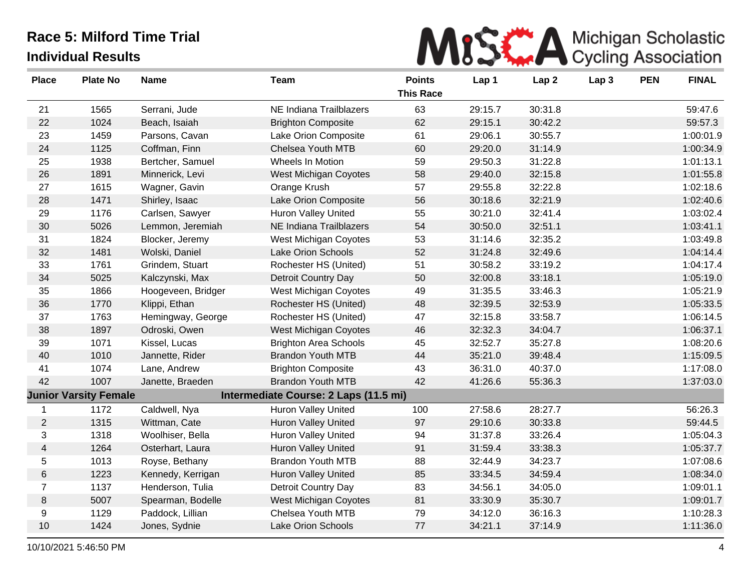

| <b>Place</b>             | <b>Plate No</b>              | <b>Name</b>        | <b>Team</b>                           | <b>Points</b>    | Lap 1   | Lap <sub>2</sub> | Lap <sub>3</sub> | <b>PEN</b> | <b>FINAL</b> |
|--------------------------|------------------------------|--------------------|---------------------------------------|------------------|---------|------------------|------------------|------------|--------------|
|                          |                              |                    |                                       | <b>This Race</b> |         |                  |                  |            |              |
| 21                       | 1565                         | Serrani, Jude      | NE Indiana Trailblazers               | 63               | 29:15.7 | 30:31.8          |                  |            | 59:47.6      |
| 22                       | 1024                         | Beach, Isaiah      | <b>Brighton Composite</b>             | 62               | 29:15.1 | 30:42.2          |                  |            | 59:57.3      |
| 23                       | 1459                         | Parsons, Cavan     | Lake Orion Composite                  | 61               | 29:06.1 | 30:55.7          |                  |            | 1:00:01.9    |
| 24                       | 1125                         | Coffman, Finn      | Chelsea Youth MTB                     | 60               | 29:20.0 | 31:14.9          |                  |            | 1:00:34.9    |
| 25                       | 1938                         | Bertcher, Samuel   | Wheels In Motion                      | 59               | 29:50.3 | 31:22.8          |                  |            | 1:01:13.1    |
| 26                       | 1891                         | Minnerick, Levi    | West Michigan Coyotes                 | 58               | 29:40.0 | 32:15.8          |                  |            | 1:01:55.8    |
| 27                       | 1615                         | Wagner, Gavin      | Orange Krush                          | 57               | 29:55.8 | 32:22.8          |                  |            | 1:02:18.6    |
| 28                       | 1471                         | Shirley, Isaac     | Lake Orion Composite                  | 56               | 30:18.6 | 32:21.9          |                  |            | 1:02:40.6    |
| 29                       | 1176                         | Carlsen, Sawyer    | <b>Huron Valley United</b>            | 55               | 30:21.0 | 32:41.4          |                  |            | 1:03:02.4    |
| 30                       | 5026                         | Lemmon, Jeremiah   | NE Indiana Trailblazers               | 54               | 30:50.0 | 32:51.1          |                  |            | 1:03:41.1    |
| 31                       | 1824                         | Blocker, Jeremy    | <b>West Michigan Coyotes</b>          | 53               | 31:14.6 | 32:35.2          |                  |            | 1:03:49.8    |
| 32                       | 1481                         | Wolski, Daniel     | Lake Orion Schools                    | 52               | 31:24.8 | 32:49.6          |                  |            | 1:04:14.4    |
| 33                       | 1761                         | Grindem, Stuart    | Rochester HS (United)                 | 51               | 30:58.2 | 33:19.2          |                  |            | 1:04:17.4    |
| 34                       | 5025                         | Kalczynski, Max    | Detroit Country Day                   | 50               | 32:00.8 | 33:18.1          |                  |            | 1:05:19.0    |
| 35                       | 1866                         | Hoogeveen, Bridger | West Michigan Coyotes                 | 49               | 31:35.5 | 33:46.3          |                  |            | 1:05:21.9    |
| 36                       | 1770                         | Klippi, Ethan      | Rochester HS (United)                 | 48               | 32:39.5 | 32:53.9          |                  |            | 1:05:33.5    |
| 37                       | 1763                         | Hemingway, George  | Rochester HS (United)                 | 47               | 32:15.8 | 33:58.7          |                  |            | 1:06:14.5    |
| 38                       | 1897                         | Odroski, Owen      | <b>West Michigan Coyotes</b>          | 46               | 32:32.3 | 34:04.7          |                  |            | 1:06:37.1    |
| 39                       | 1071                         | Kissel, Lucas      | <b>Brighton Area Schools</b>          | 45               | 32:52.7 | 35:27.8          |                  |            | 1:08:20.6    |
| 40                       | 1010                         | Jannette, Rider    | <b>Brandon Youth MTB</b>              | 44               | 35:21.0 | 39:48.4          |                  |            | 1:15:09.5    |
| 41                       | 1074                         | Lane, Andrew       | <b>Brighton Composite</b>             | 43               | 36:31.0 | 40:37.0          |                  |            | 1:17:08.0    |
| 42                       | 1007                         | Janette, Braeden   | <b>Brandon Youth MTB</b>              | 42               | 41:26.6 | 55:36.3          |                  |            | 1:37:03.0    |
|                          | <b>Junior Varsity Female</b> |                    | Intermediate Course: 2 Laps (11.5 mi) |                  |         |                  |                  |            |              |
| 1                        | 1172                         | Caldwell, Nya      | <b>Huron Valley United</b>            | 100              | 27:58.6 | 28:27.7          |                  |            | 56:26.3      |
| $\overline{2}$           | 1315                         | Wittman, Cate      | <b>Huron Valley United</b>            | 97               | 29:10.6 | 30:33.8          |                  |            | 59:44.5      |
| 3                        | 1318                         | Woolhiser, Bella   | <b>Huron Valley United</b>            | 94               | 31:37.8 | 33:26.4          |                  |            | 1:05:04.3    |
| $\overline{\mathcal{A}}$ | 1264                         | Osterhart, Laura   | Huron Valley United                   | 91               | 31:59.4 | 33:38.3          |                  |            | 1:05:37.7    |
| 5                        | 1013                         | Royse, Bethany     | <b>Brandon Youth MTB</b>              | 88               | 32:44.9 | 34:23.7          |                  |            | 1:07:08.6    |
| 6                        | 1223                         | Kennedy, Kerrigan  | <b>Huron Valley United</b>            | 85               | 33:34.5 | 34:59.4          |                  |            | 1:08:34.0    |
| $\overline{7}$           | 1137                         | Henderson, Tulia   | Detroit Country Day                   | 83               | 34:56.1 | 34:05.0          |                  |            | 1:09:01.1    |
| 8                        | 5007                         | Spearman, Bodelle  | West Michigan Coyotes                 | 81               | 33:30.9 | 35:30.7          |                  |            | 1:09:01.7    |
| 9                        | 1129                         | Paddock, Lillian   | Chelsea Youth MTB                     | 79               | 34:12.0 | 36:16.3          |                  |            | 1:10:28.3    |
| 10                       | 1424                         | Jones, Sydnie      | <b>Lake Orion Schools</b>             | 77               | 34:21.1 | 37:14.9          |                  |            | 1:11:36.0    |
|                          |                              |                    |                                       |                  |         |                  |                  |            |              |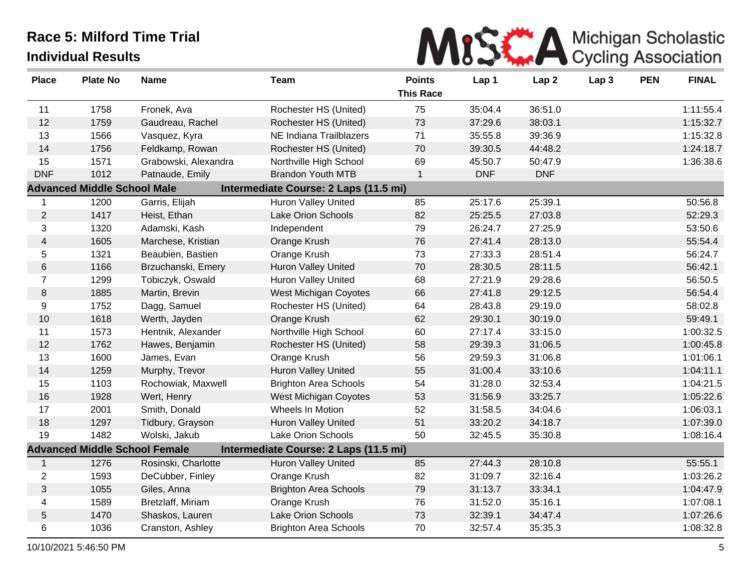

| <b>Place</b>   | <b>Plate No</b>                    | <b>Name</b>                          | <b>Team</b>                           | <b>Points</b><br><b>This Race</b> | Lap 1      | Lap <sub>2</sub> | Lap <sub>3</sub> | <b>PEN</b> | <b>FINAL</b> |
|----------------|------------------------------------|--------------------------------------|---------------------------------------|-----------------------------------|------------|------------------|------------------|------------|--------------|
| 11             | 1758                               | Fronek, Ava                          | Rochester HS (United)                 | 75                                | 35:04.4    | 36:51.0          |                  |            | 1:11:55.4    |
| 12             | 1759                               | Gaudreau, Rachel                     | Rochester HS (United)                 | 73                                | 37:29.6    | 38:03.1          |                  |            | 1:15:32.7    |
| 13             | 1566                               | Vasquez, Kyra                        | NE Indiana Trailblazers               | 71                                | 35:55.8    | 39:36.9          |                  |            | 1:15:32.8    |
| 14             | 1756                               | Feldkamp, Rowan                      | Rochester HS (United)                 | 70                                | 39:30.5    | 44:48.2          |                  |            | 1:24:18.7    |
| 15             | 1571                               | Grabowski, Alexandra                 | Northville High School                | 69                                | 45:50.7    | 50:47.9          |                  |            | 1:36:38.6    |
| <b>DNF</b>     | 1012                               | Patnaude, Emily                      | <b>Brandon Youth MTB</b>              | $\mathbf{1}$                      | <b>DNF</b> | <b>DNF</b>       |                  |            |              |
|                | <b>Advanced Middle School Male</b> |                                      | Intermediate Course: 2 Laps (11.5 mi) |                                   |            |                  |                  |            |              |
| $\mathbf{1}$   | 1200                               | Garris, Elijah                       | Huron Valley United                   | 85                                | 25:17.6    | 25:39.1          |                  |            | 50:56.8      |
| $\overline{2}$ | 1417                               | Heist, Ethan                         | Lake Orion Schools                    | 82                                | 25:25.5    | 27:03.8          |                  |            | 52:29.3      |
| 3              | 1320                               | Adamski, Kash                        | Independent                           | 79                                | 26:24.7    | 27:25.9          |                  |            | 53:50.6      |
| $\overline{4}$ | 1605                               | Marchese, Kristian                   | Orange Krush                          | 76                                | 27:41.4    | 28:13.0          |                  |            | 55:54.4      |
| 5              | 1321                               | Beaubien, Bastien                    | Orange Krush                          | 73                                | 27:33.3    | 28:51.4          |                  |            | 56:24.7      |
| 6              | 1166                               | Brzuchanski, Emery                   | <b>Huron Valley United</b>            | 70                                | 28:30.5    | 28:11.5          |                  |            | 56:42.1      |
| $\overline{7}$ | 1299                               | Tobiczyk, Oswald                     | <b>Huron Valley United</b>            | 68                                | 27:21.9    | 29:28.6          |                  |            | 56:50.5      |
| 8              | 1885                               | Martin, Brevin                       | West Michigan Coyotes                 | 66                                | 27:41.8    | 29:12.5          |                  |            | 56:54.4      |
| 9              | 1752                               | Dagg, Samuel                         | Rochester HS (United)                 | 64                                | 28:43.8    | 29:19.0          |                  |            | 58:02.8      |
| 10             | 1618                               | Werth, Jayden                        | Orange Krush                          | 62                                | 29:30.1    | 30:19.0          |                  |            | 59:49.1      |
| 11             | 1573                               | Hentnik, Alexander                   | Northville High School                | 60                                | 27:17.4    | 33:15.0          |                  |            | 1:00:32.5    |
| 12             | 1762                               | Hawes, Benjamin                      | Rochester HS (United)                 | 58                                | 29:39.3    | 31:06.5          |                  |            | 1:00:45.8    |
| 13             | 1600                               | James, Evan                          | Orange Krush                          | 56                                | 29:59.3    | 31:06.8          |                  |            | 1:01:06.1    |
| 14             | 1259                               | Murphy, Trevor                       | <b>Huron Valley United</b>            | 55                                | 31:00.4    | 33:10.6          |                  |            | 1:04:11.1    |
| 15             | 1103                               | Rochowiak, Maxwell                   | <b>Brighton Area Schools</b>          | 54                                | 31:28.0    | 32:53.4          |                  |            | 1:04:21.5    |
| 16             | 1928                               | Wert, Henry                          | West Michigan Coyotes                 | 53                                | 31:56.9    | 33:25.7          |                  |            | 1:05:22.6    |
| 17             | 2001                               | Smith, Donald                        | Wheels In Motion                      | 52                                | 31:58.5    | 34:04.6          |                  |            | 1:06:03.1    |
| 18             | 1297                               | Tidbury, Grayson                     | <b>Huron Valley United</b>            | 51                                | 33:20.2    | 34:18.7          |                  |            | 1:07:39.0    |
| 19             | 1482                               | Wolski, Jakub                        | Lake Orion Schools                    | 50                                | 32:45.5    | 35:30.8          |                  |            | 1:08:16.4    |
|                |                                    | <b>Advanced Middle School Female</b> | Intermediate Course: 2 Laps (11.5 mi) |                                   |            |                  |                  |            |              |
| $\mathbf{1}$   | 1276                               | Rosinski, Charlotte                  | <b>Huron Valley United</b>            | 85                                | 27:44.3    | 28:10.8          |                  |            | 55:55.1      |
| $\overline{2}$ | 1593                               | DeCubber, Finley                     | Orange Krush                          | 82                                | 31:09.7    | 32:16.4          |                  |            | 1:03:26.2    |
| 3              | 1055                               | Giles, Anna                          | <b>Brighton Area Schools</b>          | 79                                | 31:13.7    | 33:34.1          |                  |            | 1:04:47.9    |
| 4              | 1589                               | Bretzlaff, Miriam                    | Orange Krush                          | 76                                | 31:52.0    | 35:16.1          |                  |            | 1:07:08.1    |
| 5              | 1470                               | Shaskos, Lauren                      | Lake Orion Schools                    | 73                                | 32:39.1    | 34:47.4          |                  |            | 1:07:26.6    |
| 6              | 1036                               | Cranston, Ashley                     | <b>Brighton Area Schools</b>          | 70                                | 32:57.4    | 35:35.3          |                  |            | 1:08:32.8    |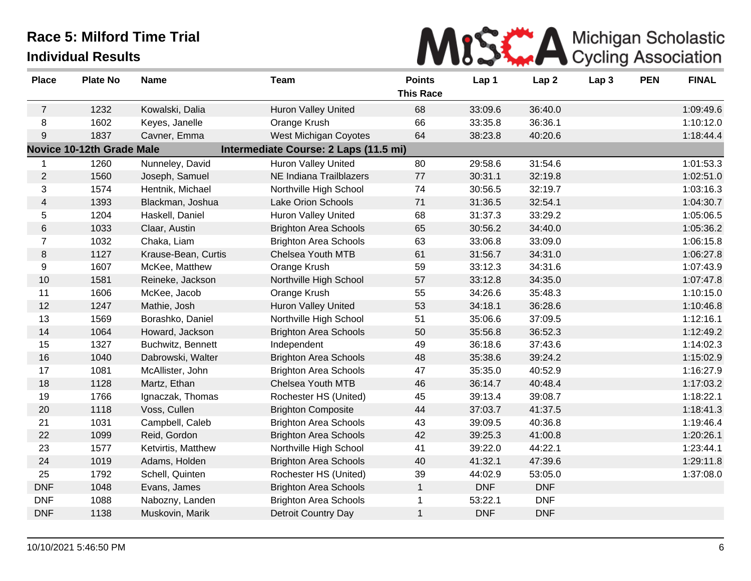

| <b>Place</b>   | <b>Plate No</b>                  | <b>Name</b>         | Team                                  | <b>Points</b><br><b>This Race</b> | Lap 1      | Lap <sub>2</sub> | Lap <sub>3</sub> | <b>PEN</b> | <b>FINAL</b> |
|----------------|----------------------------------|---------------------|---------------------------------------|-----------------------------------|------------|------------------|------------------|------------|--------------|
|                |                                  |                     |                                       |                                   |            |                  |                  |            |              |
| $\overline{7}$ | 1232                             | Kowalski, Dalia     | <b>Huron Valley United</b>            | 68                                | 33:09.6    | 36:40.0          |                  |            | 1:09:49.6    |
| 8              | 1602                             | Keyes, Janelle      | Orange Krush                          | 66                                | 33:35.8    | 36:36.1          |                  |            | 1:10:12.0    |
| 9              | 1837                             | Cavner, Emma        | <b>West Michigan Coyotes</b>          | 64                                | 38:23.8    | 40:20.6          |                  |            | 1:18:44.4    |
|                | <b>Novice 10-12th Grade Male</b> |                     | Intermediate Course: 2 Laps (11.5 mi) |                                   |            |                  |                  |            |              |
|                | 1260                             | Nunneley, David     | <b>Huron Valley United</b>            | 80                                | 29:58.6    | 31:54.6          |                  |            | 1:01:53.3    |
| $\overline{2}$ | 1560                             | Joseph, Samuel      | NE Indiana Trailblazers               | 77                                | 30:31.1    | 32:19.8          |                  |            | 1:02:51.0    |
| 3              | 1574                             | Hentnik, Michael    | Northville High School                | 74                                | 30:56.5    | 32:19.7          |                  |            | 1:03:16.3    |
| $\overline{4}$ | 1393                             | Blackman, Joshua    | Lake Orion Schools                    | 71                                | 31:36.5    | 32:54.1          |                  |            | 1:04:30.7    |
| 5              | 1204                             | Haskell, Daniel     | <b>Huron Valley United</b>            | 68                                | 31:37.3    | 33:29.2          |                  |            | 1:05:06.5    |
| $\,6$          | 1033                             | Claar, Austin       | <b>Brighton Area Schools</b>          | 65                                | 30:56.2    | 34:40.0          |                  |            | 1:05:36.2    |
| $\overline{7}$ | 1032                             | Chaka, Liam         | <b>Brighton Area Schools</b>          | 63                                | 33:06.8    | 33:09.0          |                  |            | 1:06:15.8    |
| 8              | 1127                             | Krause-Bean, Curtis | <b>Chelsea Youth MTB</b>              | 61                                | 31:56.7    | 34:31.0          |                  |            | 1:06:27.8    |
| 9              | 1607                             | McKee, Matthew      | Orange Krush                          | 59                                | 33:12.3    | 34:31.6          |                  |            | 1:07:43.9    |
| 10             | 1581                             | Reineke, Jackson    | Northville High School                | 57                                | 33:12.8    | 34:35.0          |                  |            | 1:07:47.8    |
| 11             | 1606                             | McKee, Jacob        | Orange Krush                          | 55                                | 34:26.6    | 35:48.3          |                  |            | 1:10:15.0    |
| 12             | 1247                             | Mathie, Josh        | Huron Valley United                   | 53                                | 34:18.1    | 36:28.6          |                  |            | 1:10:46.8    |
| 13             | 1569                             | Borashko, Daniel    | Northville High School                | 51                                | 35:06.6    | 37:09.5          |                  |            | 1:12:16.1    |
| 14             | 1064                             | Howard, Jackson     | <b>Brighton Area Schools</b>          | 50                                | 35:56.8    | 36:52.3          |                  |            | 1:12:49.2    |
| 15             | 1327                             | Buchwitz, Bennett   | Independent                           | 49                                | 36:18.6    | 37:43.6          |                  |            | 1:14:02.3    |
| 16             | 1040                             | Dabrowski, Walter   | <b>Brighton Area Schools</b>          | 48                                | 35:38.6    | 39:24.2          |                  |            | 1:15:02.9    |
| 17             | 1081                             | McAllister, John    | <b>Brighton Area Schools</b>          | 47                                | 35:35.0    | 40:52.9          |                  |            | 1:16:27.9    |
| 18             | 1128                             | Martz, Ethan        | <b>Chelsea Youth MTB</b>              | 46                                | 36:14.7    | 40:48.4          |                  |            | 1:17:03.2    |
| 19             | 1766                             | Ignaczak, Thomas    | Rochester HS (United)                 | 45                                | 39:13.4    | 39:08.7          |                  |            | 1:18:22.1    |
| 20             | 1118                             | Voss, Cullen        | <b>Brighton Composite</b>             | 44                                | 37:03.7    | 41:37.5          |                  |            | 1:18:41.3    |
| 21             | 1031                             | Campbell, Caleb     | <b>Brighton Area Schools</b>          | 43                                | 39:09.5    | 40:36.8          |                  |            | 1:19:46.4    |
| 22             | 1099                             | Reid, Gordon        | <b>Brighton Area Schools</b>          | 42                                | 39:25.3    | 41:00.8          |                  |            | 1:20:26.1    |
| 23             | 1577                             | Ketvirtis, Matthew  | Northville High School                | 41                                | 39:22.0    | 44:22.1          |                  |            | 1:23:44.1    |
| 24             | 1019                             | Adams, Holden       | <b>Brighton Area Schools</b>          | 40                                | 41:32.1    | 47:39.6          |                  |            | 1:29:11.8    |
| 25             | 1792                             | Schell, Quinten     | Rochester HS (United)                 | 39                                | 44:02.9    | 53:05.0          |                  |            | 1:37:08.0    |
| <b>DNF</b>     | 1048                             | Evans, James        | <b>Brighton Area Schools</b>          | $\mathbf{1}$                      | <b>DNF</b> | <b>DNF</b>       |                  |            |              |
| <b>DNF</b>     | 1088                             | Nabozny, Landen     | <b>Brighton Area Schools</b>          | 1                                 | 53:22.1    | <b>DNF</b>       |                  |            |              |
| <b>DNF</b>     | 1138                             | Muskovin, Marik     | Detroit Country Day                   | $\mathbf{1}$                      | <b>DNF</b> | <b>DNF</b>       |                  |            |              |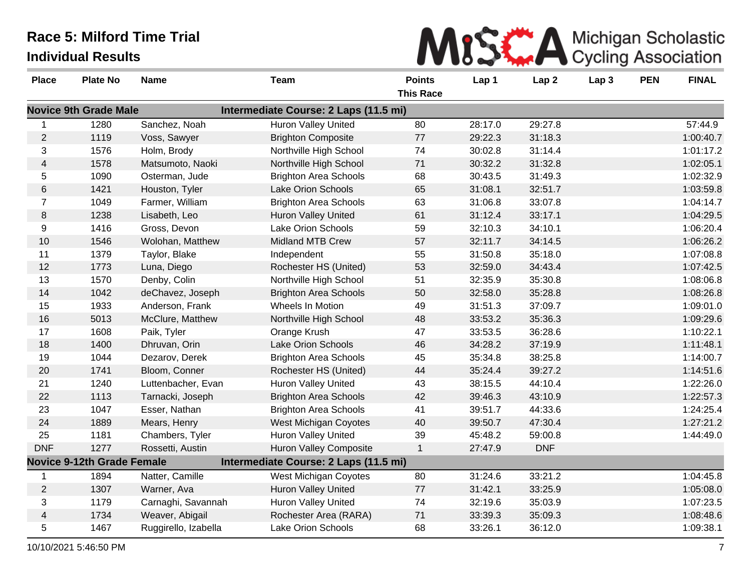| MISK A Michigan Scholastic |
|----------------------------|
|                            |

| <b>Place</b>     | <b>Plate No</b>                   | <b>Name</b>          | <b>Team</b>                           | <b>Points</b>    | Lap 1   | Lap <sub>2</sub> | Lap <sub>3</sub> | <b>PEN</b> | <b>FINAL</b> |
|------------------|-----------------------------------|----------------------|---------------------------------------|------------------|---------|------------------|------------------|------------|--------------|
|                  |                                   |                      |                                       | <b>This Race</b> |         |                  |                  |            |              |
|                  | <b>Novice 9th Grade Male</b>      |                      | Intermediate Course: 2 Laps (11.5 mi) |                  |         |                  |                  |            |              |
|                  | 1280                              | Sanchez, Noah        | <b>Huron Valley United</b>            | 80               | 28:17.0 | 29:27.8          |                  |            | 57:44.9      |
| $\overline{c}$   | 1119                              | Voss, Sawyer         | <b>Brighton Composite</b>             | 77               | 29:22.3 | 31:18.3          |                  |            | 1:00:40.7    |
| 3                | 1576                              | Holm, Brody          | Northville High School                | 74               | 30:02.8 | 31:14.4          |                  |            | 1:01:17.2    |
| $\overline{4}$   | 1578                              | Matsumoto, Naoki     | Northville High School                | 71               | 30:32.2 | 31:32.8          |                  |            | 1:02:05.1    |
| 5                | 1090                              | Osterman, Jude       | <b>Brighton Area Schools</b>          | 68               | 30:43.5 | 31:49.3          |                  |            | 1:02:32.9    |
| 6                | 1421                              | Houston, Tyler       | <b>Lake Orion Schools</b>             | 65               | 31:08.1 | 32:51.7          |                  |            | 1:03:59.8    |
| $\overline{7}$   | 1049                              | Farmer, William      | <b>Brighton Area Schools</b>          | 63               | 31:06.8 | 33:07.8          |                  |            | 1:04:14.7    |
| $\,8\,$          | 1238                              | Lisabeth, Leo        | <b>Huron Valley United</b>            | 61               | 31:12.4 | 33:17.1          |                  |            | 1:04:29.5    |
| $\boldsymbol{9}$ | 1416                              | Gross, Devon         | <b>Lake Orion Schools</b>             | 59               | 32:10.3 | 34:10.1          |                  |            | 1:06:20.4    |
| 10               | 1546                              | Wolohan, Matthew     | <b>Midland MTB Crew</b>               | 57               | 32:11.7 | 34:14.5          |                  |            | 1:06:26.2    |
| 11               | 1379                              | Taylor, Blake        | Independent                           | 55               | 31:50.8 | 35:18.0          |                  |            | 1:07:08.8    |
| 12               | 1773                              | Luna, Diego          | Rochester HS (United)                 | 53               | 32:59.0 | 34:43.4          |                  |            | 1:07:42.5    |
| 13               | 1570                              | Denby, Colin         | Northville High School                | 51               | 32:35.9 | 35:30.8          |                  |            | 1:08:06.8    |
| 14               | 1042                              | deChavez, Joseph     | <b>Brighton Area Schools</b>          | 50               | 32:58.0 | 35:28.8          |                  |            | 1:08:26.8    |
| 15               | 1933                              | Anderson, Frank      | Wheels In Motion                      | 49               | 31:51.3 | 37:09.7          |                  |            | 1:09:01.0    |
| 16               | 5013                              | McClure, Matthew     | Northville High School                | 48               | 33:53.2 | 35:36.3          |                  |            | 1:09:29.6    |
| 17               | 1608                              | Paik, Tyler          | Orange Krush                          | 47               | 33:53.5 | 36:28.6          |                  |            | 1:10:22.1    |
| 18               | 1400                              | Dhruvan, Orin        | <b>Lake Orion Schools</b>             | 46               | 34:28.2 | 37:19.9          |                  |            | 1:11:48.1    |
| 19               | 1044                              | Dezarov, Derek       | <b>Brighton Area Schools</b>          | 45               | 35:34.8 | 38:25.8          |                  |            | 1:14:00.7    |
| 20               | 1741                              | Bloom, Conner        | Rochester HS (United)                 | 44               | 35:24.4 | 39:27.2          |                  |            | 1:14:51.6    |
| 21               | 1240                              | Luttenbacher, Evan   | <b>Huron Valley United</b>            | 43               | 38:15.5 | 44:10.4          |                  |            | 1:22:26.0    |
| 22               | 1113                              | Tarnacki, Joseph     | <b>Brighton Area Schools</b>          | 42               | 39:46.3 | 43:10.9          |                  |            | 1:22:57.3    |
| 23               | 1047                              | Esser, Nathan        | <b>Brighton Area Schools</b>          | 41               | 39:51.7 | 44:33.6          |                  |            | 1:24:25.4    |
| 24               | 1889                              | Mears, Henry         | West Michigan Coyotes                 | 40               | 39:50.7 | 47:30.4          |                  |            | 1:27:21.2    |
| 25               | 1181                              | Chambers, Tyler      | Huron Valley United                   | 39               | 45:48.2 | 59:00.8          |                  |            | 1:44:49.0    |
| <b>DNF</b>       | 1277                              | Rossetti, Austin     | <b>Huron Valley Composite</b>         | $\mathbf{1}$     | 27:47.9 | <b>DNF</b>       |                  |            |              |
|                  | <b>Novice 9-12th Grade Female</b> |                      | Intermediate Course: 2 Laps (11.5 mi) |                  |         |                  |                  |            |              |
| 1                | 1894                              | Natter, Camille      | West Michigan Coyotes                 | 80               | 31:24.6 | 33:21.2          |                  |            | 1:04:45.8    |
| $\overline{2}$   | 1307                              | Warner, Ava          | <b>Huron Valley United</b>            | 77               | 31:42.1 | 33:25.9          |                  |            | 1:05:08.0    |
| 3                | 1179                              | Carnaghi, Savannah   | <b>Huron Valley United</b>            | 74               | 32:19.6 | 35:03.9          |                  |            | 1:07:23.5    |
| $\overline{4}$   | 1734                              | Weaver, Abigail      | Rochester Area (RARA)                 | 71               | 33:39.3 | 35:09.3          |                  |            | 1:08:48.6    |
| 5                | 1467                              | Ruggirello, Izabella | <b>Lake Orion Schools</b>             | 68               | 33:26.1 | 36:12.0          |                  |            | 1:09:38.1    |

and the control of the control of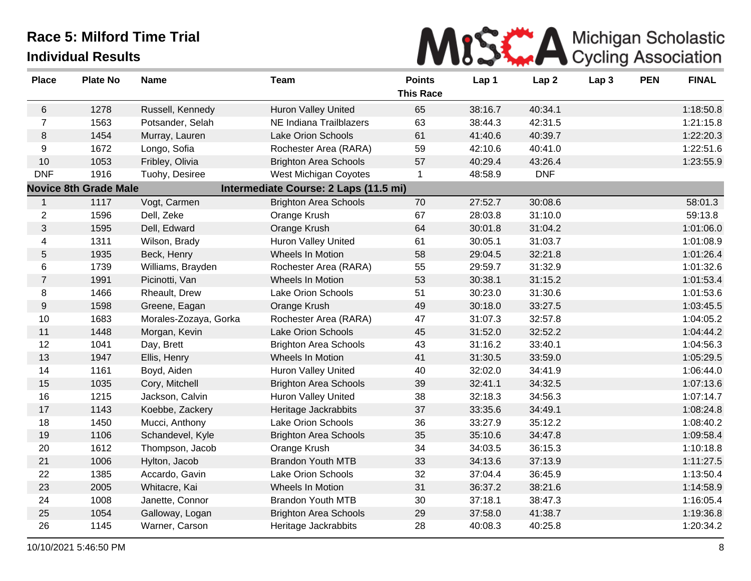

| <b>Place</b>   | <b>Plate No</b>              | <b>Name</b>           | <b>Team</b>                           | <b>Points</b>    | Lap 1   | Lap <sub>2</sub> | Lap <sub>3</sub> | <b>PEN</b> | <b>FINAL</b> |
|----------------|------------------------------|-----------------------|---------------------------------------|------------------|---------|------------------|------------------|------------|--------------|
|                |                              |                       |                                       | <b>This Race</b> |         |                  |                  |            |              |
| 6              | 1278                         | Russell, Kennedy      | <b>Huron Valley United</b>            | 65               | 38:16.7 | 40:34.1          |                  |            | 1:18:50.8    |
| $\overline{7}$ | 1563                         | Potsander, Selah      | NE Indiana Trailblazers               | 63               | 38:44.3 | 42:31.5          |                  |            | 1:21:15.8    |
| $\,8\,$        | 1454                         | Murray, Lauren        | <b>Lake Orion Schools</b>             | 61               | 41:40.6 | 40:39.7          |                  |            | 1:22:20.3    |
| 9              | 1672                         | Longo, Sofia          | Rochester Area (RARA)                 | 59               | 42:10.6 | 40:41.0          |                  |            | 1:22:51.6    |
| 10             | 1053                         | Fribley, Olivia       | <b>Brighton Area Schools</b>          | 57               | 40:29.4 | 43:26.4          |                  |            | 1:23:55.9    |
| <b>DNF</b>     | 1916                         | Tuohy, Desiree        | West Michigan Coyotes                 | 1                | 48:58.9 | <b>DNF</b>       |                  |            |              |
|                | <b>Novice 8th Grade Male</b> |                       | Intermediate Course: 2 Laps (11.5 mi) |                  |         |                  |                  |            |              |
| $\mathbf{1}$   | 1117                         | Vogt, Carmen          | <b>Brighton Area Schools</b>          | 70               | 27:52.7 | 30:08.6          |                  |            | 58:01.3      |
| $\overline{2}$ | 1596                         | Dell, Zeke            | Orange Krush                          | 67               | 28:03.8 | 31:10.0          |                  |            | 59:13.8      |
| 3              | 1595                         | Dell, Edward          | Orange Krush                          | 64               | 30:01.8 | 31:04.2          |                  |            | 1:01:06.0    |
| $\overline{4}$ | 1311                         | Wilson, Brady         | Huron Valley United                   | 61               | 30:05.1 | 31:03.7          |                  |            | 1:01:08.9    |
| $\mathbf 5$    | 1935                         | Beck, Henry           | Wheels In Motion                      | 58               | 29:04.5 | 32:21.8          |                  |            | 1:01:26.4    |
| 6              | 1739                         | Williams, Brayden     | Rochester Area (RARA)                 | 55               | 29:59.7 | 31:32.9          |                  |            | 1:01:32.6    |
| $\overline{7}$ | 1991                         | Picinotti, Van        | Wheels In Motion                      | 53               | 30:38.1 | 31:15.2          |                  |            | 1:01:53.4    |
| 8              | 1466                         | Rheault, Drew         | Lake Orion Schools                    | 51               | 30:23.0 | 31:30.6          |                  |            | 1:01:53.6    |
| $9\,$          | 1598                         | Greene, Eagan         | Orange Krush                          | 49               | 30:18.0 | 33:27.5          |                  |            | 1:03:45.5    |
| 10             | 1683                         | Morales-Zozaya, Gorka | Rochester Area (RARA)                 | 47               | 31:07.3 | 32:57.8          |                  |            | 1:04:05.2    |
| 11             | 1448                         | Morgan, Kevin         | Lake Orion Schools                    | 45               | 31:52.0 | 32:52.2          |                  |            | 1:04:44.2    |
| 12             | 1041                         | Day, Brett            | <b>Brighton Area Schools</b>          | 43               | 31:16.2 | 33:40.1          |                  |            | 1:04:56.3    |
| 13             | 1947                         | Ellis, Henry          | Wheels In Motion                      | 41               | 31:30.5 | 33:59.0          |                  |            | 1:05:29.5    |
| 14             | 1161                         | Boyd, Aiden           | Huron Valley United                   | 40               | 32:02.0 | 34:41.9          |                  |            | 1:06:44.0    |
| 15             | 1035                         | Cory, Mitchell        | <b>Brighton Area Schools</b>          | 39               | 32:41.1 | 34:32.5          |                  |            | 1:07:13.6    |
| 16             | 1215                         | Jackson, Calvin       | <b>Huron Valley United</b>            | 38               | 32:18.3 | 34:56.3          |                  |            | 1:07:14.7    |
| 17             | 1143                         | Koebbe, Zackery       | Heritage Jackrabbits                  | 37               | 33:35.6 | 34:49.1          |                  |            | 1:08:24.8    |
| 18             | 1450                         | Mucci, Anthony        | <b>Lake Orion Schools</b>             | 36               | 33:27.9 | 35:12.2          |                  |            | 1:08:40.2    |
| 19             | 1106                         | Schandevel, Kyle      | <b>Brighton Area Schools</b>          | 35               | 35:10.6 | 34:47.8          |                  |            | 1:09:58.4    |
| 20             | 1612                         | Thompson, Jacob       | Orange Krush                          | 34               | 34:03.5 | 36:15.3          |                  |            | 1:10:18.8    |
| 21             | 1006                         | Hylton, Jacob         | <b>Brandon Youth MTB</b>              | 33               | 34:13.6 | 37:13.9          |                  |            | 1:11:27.5    |
| 22             | 1385                         | Accardo, Gavin        | Lake Orion Schools                    | 32               | 37:04.4 | 36:45.9          |                  |            | 1:13:50.4    |
| 23             | 2005                         | Whitacre, Kai         | Wheels In Motion                      | 31               | 36:37.2 | 38:21.6          |                  |            | 1:14:58.9    |
| 24             | 1008                         | Janette, Connor       | <b>Brandon Youth MTB</b>              | 30               | 37:18.1 | 38:47.3          |                  |            | 1:16:05.4    |
| 25             | 1054                         | Galloway, Logan       | <b>Brighton Area Schools</b>          | 29               | 37:58.0 | 41:38.7          |                  |            | 1:19:36.8    |
| 26             | 1145                         | Warner, Carson        | Heritage Jackrabbits                  | 28               | 40:08.3 | 40:25.8          |                  |            | 1:20:34.2    |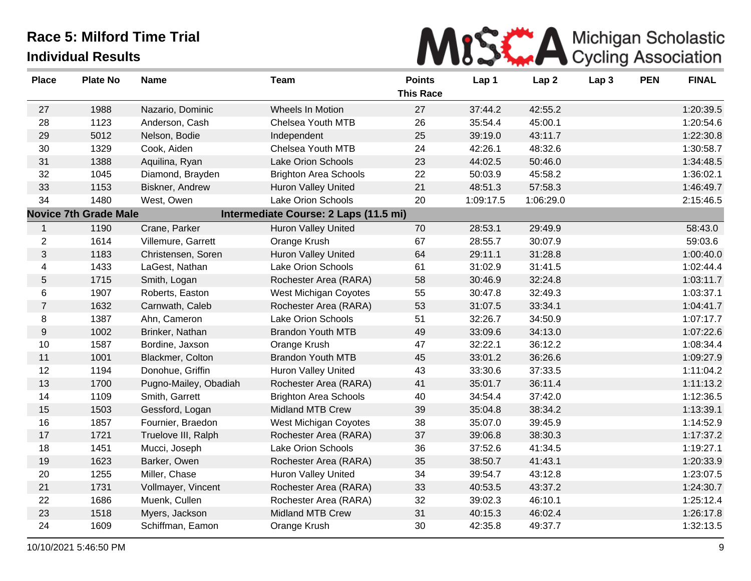

| <b>Place</b>     | <b>Plate No</b>              | <b>Name</b>           | <b>Team</b>                           | <b>Points</b>    | Lap 1     | Lap <sub>2</sub> | Lap <sub>3</sub> | <b>PEN</b> | <b>FINAL</b> |
|------------------|------------------------------|-----------------------|---------------------------------------|------------------|-----------|------------------|------------------|------------|--------------|
|                  |                              |                       |                                       | <b>This Race</b> |           |                  |                  |            |              |
| 27               | 1988                         | Nazario, Dominic      | Wheels In Motion                      | 27               | 37:44.2   | 42:55.2          |                  |            | 1:20:39.5    |
| 28               | 1123                         | Anderson, Cash        | Chelsea Youth MTB                     | 26               | 35:54.4   | 45:00.1          |                  |            | 1:20:54.6    |
| 29               | 5012                         | Nelson, Bodie         | Independent                           | 25               | 39:19.0   | 43:11.7          |                  |            | 1:22:30.8    |
| 30               | 1329                         | Cook, Aiden           | Chelsea Youth MTB                     | 24               | 42:26.1   | 48:32.6          |                  |            | 1:30:58.7    |
| 31               | 1388                         | Aquilina, Ryan        | Lake Orion Schools                    | 23               | 44:02.5   | 50:46.0          |                  |            | 1:34:48.5    |
| 32               | 1045                         | Diamond, Brayden      | <b>Brighton Area Schools</b>          | 22               | 50:03.9   | 45:58.2          |                  |            | 1:36:02.1    |
| 33               | 1153                         | Biskner, Andrew       | <b>Huron Valley United</b>            | 21               | 48:51.3   | 57:58.3          |                  |            | 1:46:49.7    |
| 34               | 1480                         | West, Owen            | Lake Orion Schools                    | 20               | 1:09:17.5 | 1:06:29.0        |                  |            | 2:15:46.5    |
|                  | <b>Novice 7th Grade Male</b> |                       | Intermediate Course: 2 Laps (11.5 mi) |                  |           |                  |                  |            |              |
| $\mathbf 1$      | 1190                         | Crane, Parker         | <b>Huron Valley United</b>            | 70               | 28:53.1   | 29:49.9          |                  |            | 58:43.0      |
| $\overline{2}$   | 1614                         | Villemure, Garrett    | Orange Krush                          | 67               | 28:55.7   | 30:07.9          |                  |            | 59:03.6      |
| 3                | 1183                         | Christensen, Soren    | Huron Valley United                   | 64               | 29:11.1   | 31:28.8          |                  |            | 1:00:40.0    |
| 4                | 1433                         | LaGest, Nathan        | Lake Orion Schools                    | 61               | 31:02.9   | 31:41.5          |                  |            | 1:02:44.4    |
| 5                | 1715                         | Smith, Logan          | Rochester Area (RARA)                 | 58               | 30:46.9   | 32:24.8          |                  |            | 1:03:11.7    |
| 6                | 1907                         | Roberts, Easton       | West Michigan Coyotes                 | 55               | 30:47.8   | 32:49.3          |                  |            | 1:03:37.1    |
| $\overline{7}$   | 1632                         | Carnwath, Caleb       | Rochester Area (RARA)                 | 53               | 31:07.5   | 33:34.1          |                  |            | 1:04:41.7    |
| 8                | 1387                         | Ahn, Cameron          | Lake Orion Schools                    | 51               | 32:26.7   | 34:50.9          |                  |            | 1:07:17.7    |
| $\boldsymbol{9}$ | 1002                         | Brinker, Nathan       | <b>Brandon Youth MTB</b>              | 49               | 33:09.6   | 34:13.0          |                  |            | 1:07:22.6    |
| $10$             | 1587                         | Bordine, Jaxson       | Orange Krush                          | 47               | 32:22.1   | 36:12.2          |                  |            | 1:08:34.4    |
| 11               | 1001                         | Blackmer, Colton      | <b>Brandon Youth MTB</b>              | 45               | 33:01.2   | 36:26.6          |                  |            | 1:09:27.9    |
| 12               | 1194                         | Donohue, Griffin      | Huron Valley United                   | 43               | 33:30.6   | 37:33.5          |                  |            | 1:11:04.2    |
| 13               | 1700                         | Pugno-Mailey, Obadiah | Rochester Area (RARA)                 | 41               | 35:01.7   | 36:11.4          |                  |            | 1:11:13.2    |
| 14               | 1109                         | Smith, Garrett        | <b>Brighton Area Schools</b>          | 40               | 34:54.4   | 37:42.0          |                  |            | 1:12:36.5    |
| 15               | 1503                         | Gessford, Logan       | Midland MTB Crew                      | 39               | 35:04.8   | 38:34.2          |                  |            | 1:13:39.1    |
| 16               | 1857                         | Fournier, Braedon     | West Michigan Coyotes                 | 38               | 35:07.0   | 39:45.9          |                  |            | 1:14:52.9    |
| 17               | 1721                         | Truelove III, Ralph   | Rochester Area (RARA)                 | 37               | 39:06.8   | 38:30.3          |                  |            | 1:17:37.2    |
| 18               | 1451                         | Mucci, Joseph         | Lake Orion Schools                    | 36               | 37:52.6   | 41:34.5          |                  |            | 1:19:27.1    |
| 19               | 1623                         | Barker, Owen          | Rochester Area (RARA)                 | 35               | 38:50.7   | 41:43.1          |                  |            | 1:20:33.9    |
| 20               | 1255                         | Miller, Chase         | <b>Huron Valley United</b>            | 34               | 39:54.7   | 43:12.8          |                  |            | 1:23:07.5    |
| 21               | 1731                         | Vollmayer, Vincent    | Rochester Area (RARA)                 | 33               | 40:53.5   | 43:37.2          |                  |            | 1:24:30.7    |
| 22               | 1686                         | Muenk, Cullen         | Rochester Area (RARA)                 | 32               | 39:02.3   | 46:10.1          |                  |            | 1:25:12.4    |
| 23               | 1518                         | Myers, Jackson        | <b>Midland MTB Crew</b>               | 31               | 40:15.3   | 46:02.4          |                  |            | 1:26:17.8    |
| 24               | 1609                         | Schiffman, Eamon      | Orange Krush                          | 30               | 42:35.8   | 49:37.7          |                  |            | 1:32:13.5    |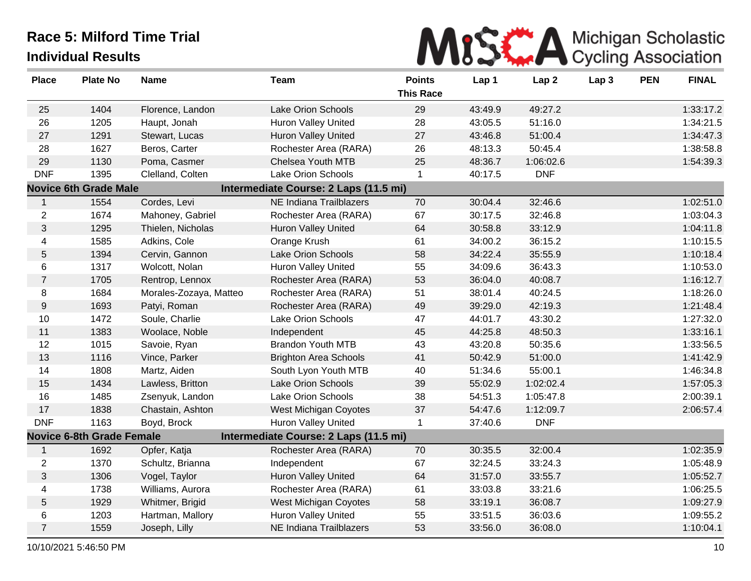

| <b>Place</b>    | <b>Plate No</b>                  | <b>Name</b>            | <b>Team</b>                           | <b>Points</b><br><b>This Race</b> | Lap 1   | Lap <sub>2</sub> | Lap <sub>3</sub> | <b>PEN</b> | <b>FINAL</b> |
|-----------------|----------------------------------|------------------------|---------------------------------------|-----------------------------------|---------|------------------|------------------|------------|--------------|
|                 |                                  |                        |                                       |                                   |         |                  |                  |            |              |
| 25              | 1404                             | Florence, Landon       | Lake Orion Schools                    | 29                                | 43:49.9 | 49:27.2          |                  |            | 1:33:17.2    |
| 26              | 1205                             | Haupt, Jonah           | <b>Huron Valley United</b>            | 28                                | 43:05.5 | 51:16.0          |                  |            | 1:34:21.5    |
| 27              | 1291                             | Stewart, Lucas         | Huron Valley United                   | 27                                | 43:46.8 | 51:00.4          |                  |            | 1:34:47.3    |
| 28              | 1627                             | Beros, Carter          | Rochester Area (RARA)                 | 26                                | 48:13.3 | 50:45.4          |                  |            | 1:38:58.8    |
| 29              | 1130                             | Poma, Casmer           | <b>Chelsea Youth MTB</b>              | 25                                | 48:36.7 | 1:06:02.6        |                  |            | 1:54:39.3    |
| <b>DNF</b>      | 1395                             | Clelland, Colten       | Lake Orion Schools                    | $\mathbf{1}$                      | 40:17.5 | <b>DNF</b>       |                  |            |              |
|                 | <b>Novice 6th Grade Male</b>     |                        | Intermediate Course: 2 Laps (11.5 mi) |                                   |         |                  |                  |            |              |
| 1               | 1554                             | Cordes, Levi           | NE Indiana Trailblazers               | 70                                | 30:04.4 | 32:46.6          |                  |            | 1:02:51.0    |
| $\overline{2}$  | 1674                             | Mahoney, Gabriel       | Rochester Area (RARA)                 | 67                                | 30:17.5 | 32:46.8          |                  |            | 1:03:04.3    |
| $\mathbf{3}$    | 1295                             | Thielen, Nicholas      | Huron Valley United                   | 64                                | 30:58.8 | 33:12.9          |                  |            | 1:04:11.8    |
| 4               | 1585                             | Adkins, Cole           | Orange Krush                          | 61                                | 34:00.2 | 36:15.2          |                  |            | 1:10:15.5    |
| 5               | 1394                             | Cervin, Gannon         | Lake Orion Schools                    | 58                                | 34:22.4 | 35:55.9          |                  |            | 1:10:18.4    |
| 6               | 1317                             | Wolcott, Nolan         | Huron Valley United                   | 55                                | 34:09.6 | 36:43.3          |                  |            | 1:10:53.0    |
| $\overline{7}$  | 1705                             | Rentrop, Lennox        | Rochester Area (RARA)                 | 53                                | 36:04.0 | 40:08.7          |                  |            | 1:16:12.7    |
| 8               | 1684                             | Morales-Zozaya, Matteo | Rochester Area (RARA)                 | 51                                | 38:01.4 | 40:24.5          |                  |            | 1:18:26.0    |
| $9\,$           | 1693                             | Patyi, Roman           | Rochester Area (RARA)                 | 49                                | 39:29.0 | 42:19.3          |                  |            | 1:21:48.4    |
| 10              | 1472                             | Soule, Charlie         | Lake Orion Schools                    | 47                                | 44:01.7 | 43:30.2          |                  |            | 1:27:32.0    |
| 11              | 1383                             | Woolace, Noble         | Independent                           | 45                                | 44:25.8 | 48:50.3          |                  |            | 1:33:16.1    |
| 12              | 1015                             | Savoie, Ryan           | <b>Brandon Youth MTB</b>              | 43                                | 43:20.8 | 50:35.6          |                  |            | 1:33:56.5    |
| 13              | 1116                             | Vince, Parker          | <b>Brighton Area Schools</b>          | 41                                | 50:42.9 | 51:00.0          |                  |            | 1:41:42.9    |
| 14              | 1808                             | Martz, Aiden           | South Lyon Youth MTB                  | 40                                | 51:34.6 | 55:00.1          |                  |            | 1:46:34.8    |
| 15              | 1434                             | Lawless, Britton       | Lake Orion Schools                    | 39                                | 55:02.9 | 1:02:02.4        |                  |            | 1:57:05.3    |
| 16              | 1485                             | Zsenyuk, Landon        | Lake Orion Schools                    | 38                                | 54:51.3 | 1:05:47.8        |                  |            | 2:00:39.1    |
| 17              | 1838                             | Chastain, Ashton       | West Michigan Coyotes                 | 37                                | 54:47.6 | 1:12:09.7        |                  |            | 2:06:57.4    |
| <b>DNF</b>      | 1163                             | Boyd, Brock            | Huron Valley United                   | $\mathbf{1}$                      | 37:40.6 | <b>DNF</b>       |                  |            |              |
|                 | <b>Novice 6-8th Grade Female</b> |                        | Intermediate Course: 2 Laps (11.5 mi) |                                   |         |                  |                  |            |              |
| $\mathbf{1}$    | 1692                             | Opfer, Katja           | Rochester Area (RARA)                 | 70                                | 30:35.5 | 32:00.4          |                  |            | 1:02:35.9    |
| $\overline{c}$  | 1370                             | Schultz, Brianna       | Independent                           | 67                                | 32:24.5 | 33:24.3          |                  |            | 1:05:48.9    |
| $\mathfrak{S}$  | 1306                             | Vogel, Taylor          | Huron Valley United                   | 64                                | 31:57.0 | 33:55.7          |                  |            | 1:05:52.7    |
| 4               | 1738                             | Williams, Aurora       | Rochester Area (RARA)                 | 61                                | 33:03.8 | 33:21.6          |                  |            | 1:06:25.5    |
| $5\phantom{.0}$ | 1929                             | Whitmer, Brigid        | West Michigan Coyotes                 | 58                                | 33:19.1 | 36:08.7          |                  |            | 1:09:27.9    |
| 6               | 1203                             | Hartman, Mallory       | Huron Valley United                   | 55                                | 33:51.5 | 36:03.6          |                  |            | 1:09:55.2    |
| $\overline{7}$  | 1559                             | Joseph, Lilly          | NE Indiana Trailblazers               | 53                                | 33:56.0 | 36:08.0          |                  |            | 1:10:04.1    |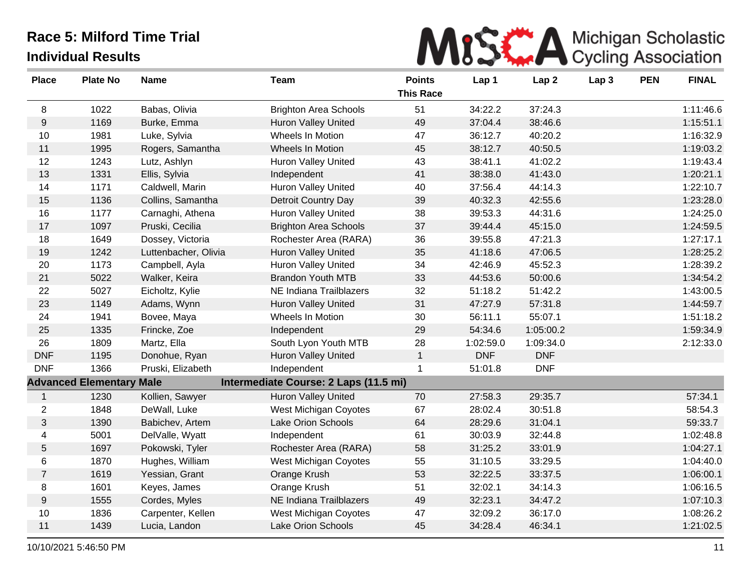

| <b>Place</b>   | <b>Plate No</b>                 | <b>Name</b>          | <b>Team</b>                           | <b>Points</b><br><b>This Race</b> | Lap 1      | Lap <sub>2</sub> | Lap <sub>3</sub> | <b>PEN</b> | <b>FINAL</b> |
|----------------|---------------------------------|----------------------|---------------------------------------|-----------------------------------|------------|------------------|------------------|------------|--------------|
| 8              | 1022                            | Babas, Olivia        | <b>Brighton Area Schools</b>          | 51                                | 34:22.2    | 37:24.3          |                  |            | 1:11:46.6    |
| $9\,$          | 1169                            | Burke, Emma          | Huron Valley United                   | 49                                | 37:04.4    | 38:46.6          |                  |            | 1:15:51.1    |
| 10             | 1981                            | Luke, Sylvia         | Wheels In Motion                      | 47                                | 36:12.7    | 40:20.2          |                  |            | 1:16:32.9    |
| 11             | 1995                            | Rogers, Samantha     | Wheels In Motion                      | 45                                | 38:12.7    | 40:50.5          |                  |            | 1:19:03.2    |
| 12             | 1243                            | Lutz, Ashlyn         | Huron Valley United                   | 43                                | 38:41.1    | 41:02.2          |                  |            | 1:19:43.4    |
| 13             | 1331                            | Ellis, Sylvia        | Independent                           | 41                                | 38:38.0    | 41:43.0          |                  |            | 1:20:21.1    |
| 14             | 1171                            | Caldwell, Marin      | Huron Valley United                   | 40                                | 37:56.4    | 44:14.3          |                  |            | 1:22:10.7    |
| 15             | 1136                            | Collins, Samantha    | Detroit Country Day                   | 39                                | 40:32.3    | 42:55.6          |                  |            | 1:23:28.0    |
| 16             | 1177                            | Carnaghi, Athena     | Huron Valley United                   | 38                                | 39:53.3    | 44:31.6          |                  |            | 1:24:25.0    |
| 17             | 1097                            | Pruski, Cecilia      | <b>Brighton Area Schools</b>          | 37                                | 39:44.4    | 45:15.0          |                  |            | 1:24:59.5    |
| 18             | 1649                            | Dossey, Victoria     | Rochester Area (RARA)                 | 36                                | 39:55.8    | 47:21.3          |                  |            | 1:27:17.1    |
| 19             | 1242                            | Luttenbacher, Olivia | Huron Valley United                   | 35                                | 41:18.6    | 47:06.5          |                  |            | 1:28:25.2    |
| 20             | 1173                            | Campbell, Ayla       | <b>Huron Valley United</b>            | 34                                | 42:46.9    | 45:52.3          |                  |            | 1:28:39.2    |
| 21             | 5022                            | Walker, Keira        | <b>Brandon Youth MTB</b>              | 33                                | 44:53.6    | 50:00.6          |                  |            | 1:34:54.2    |
| 22             | 5027                            | Eicholtz, Kylie      | NE Indiana Trailblazers               | 32                                | 51:18.2    | 51:42.2          |                  |            | 1:43:00.5    |
| 23             | 1149                            | Adams, Wynn          | <b>Huron Valley United</b>            | 31                                | 47:27.9    | 57:31.8          |                  |            | 1:44:59.7    |
| 24             | 1941                            | Bovee, Maya          | Wheels In Motion                      | 30                                | 56:11.1    | 55:07.1          |                  |            | 1:51:18.2    |
| 25             | 1335                            | Frincke, Zoe         | Independent                           | 29                                | 54:34.6    | 1:05:00.2        |                  |            | 1:59:34.9    |
| 26             | 1809                            | Martz, Ella          | South Lyon Youth MTB                  | 28                                | 1:02:59.0  | 1:09:34.0        |                  |            | 2:12:33.0    |
| <b>DNF</b>     | 1195                            | Donohue, Ryan        | <b>Huron Valley United</b>            | $\mathbf{1}$                      | <b>DNF</b> | <b>DNF</b>       |                  |            |              |
| <b>DNF</b>     | 1366                            | Pruski, Elizabeth    | Independent                           | 1                                 | 51:01.8    | <b>DNF</b>       |                  |            |              |
|                | <b>Advanced Elementary Male</b> |                      | Intermediate Course: 2 Laps (11.5 mi) |                                   |            |                  |                  |            |              |
| $\mathbf{1}$   | 1230                            | Kollien, Sawyer      | <b>Huron Valley United</b>            | 70                                | 27:58.3    | 29:35.7          |                  |            | 57:34.1      |
| $\overline{c}$ | 1848                            | DeWall, Luke         | West Michigan Coyotes                 | 67                                | 28:02.4    | 30:51.8          |                  |            | 58:54.3      |
| $\mathbf{3}$   | 1390                            | Babichev, Artem      | Lake Orion Schools                    | 64                                | 28:29.6    | 31:04.1          |                  |            | 59:33.7      |
| 4              | 5001                            | DelValle, Wyatt      | Independent                           | 61                                | 30:03.9    | 32:44.8          |                  |            | 1:02:48.8    |
| $\overline{5}$ | 1697                            | Pokowski, Tyler      | Rochester Area (RARA)                 | 58                                | 31:25.2    | 33:01.9          |                  |            | 1:04:27.1    |
| 6              | 1870                            | Hughes, William      | West Michigan Coyotes                 | 55                                | 31:10.5    | 33:29.5          |                  |            | 1:04:40.0    |
| $\overline{7}$ | 1619                            | Yessian, Grant       | Orange Krush                          | 53                                | 32:22.5    | 33:37.5          |                  |            | 1:06:00.1    |
| 8              | 1601                            | Keyes, James         | Orange Krush                          | 51                                | 32:02.1    | 34:14.3          |                  |            | 1:06:16.5    |
| 9              | 1555                            | Cordes, Myles        | NE Indiana Trailblazers               | 49                                | 32:23.1    | 34:47.2          |                  |            | 1:07:10.3    |
| 10             | 1836                            | Carpenter, Kellen    | West Michigan Coyotes                 | 47                                | 32:09.2    | 36:17.0          |                  |            | 1:08:26.2    |
| 11             | 1439                            | Lucia, Landon        | Lake Orion Schools                    | 45                                | 34:28.4    | 46:34.1          |                  |            | 1:21:02.5    |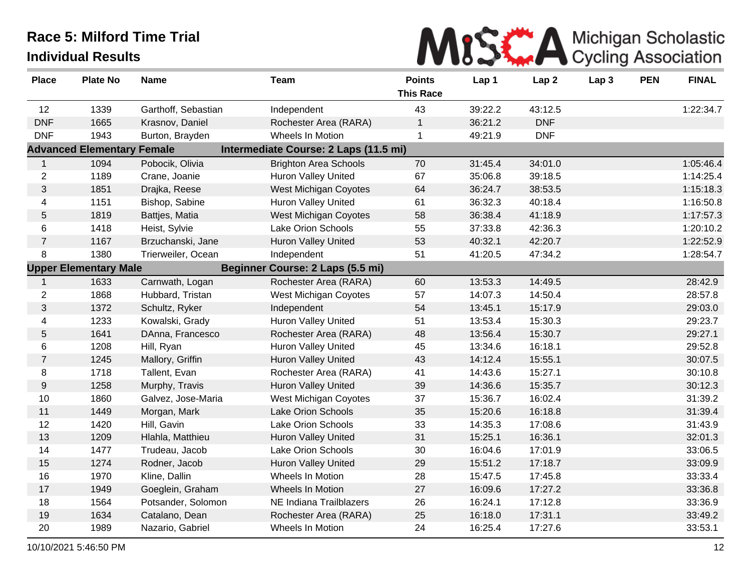

| <b>Place</b>     | <b>Plate No</b>                   | <b>Name</b>         | <b>Team</b>                           | <b>Points</b>    | Lap 1   | Lap <sub>2</sub> | Lap <sub>3</sub> | <b>PEN</b> | <b>FINAL</b> |
|------------------|-----------------------------------|---------------------|---------------------------------------|------------------|---------|------------------|------------------|------------|--------------|
|                  |                                   |                     |                                       | <b>This Race</b> |         |                  |                  |            |              |
| 12               | 1339                              | Garthoff, Sebastian | Independent                           | 43               | 39:22.2 | 43:12.5          |                  |            | 1:22:34.7    |
| <b>DNF</b>       | 1665                              | Krasnov, Daniel     | Rochester Area (RARA)                 | $\mathbf{1}$     | 36:21.2 | <b>DNF</b>       |                  |            |              |
| <b>DNF</b>       | 1943                              | Burton, Brayden     | Wheels In Motion                      | $\mathbf{1}$     | 49:21.9 | <b>DNF</b>       |                  |            |              |
|                  | <b>Advanced Elementary Female</b> |                     | Intermediate Course: 2 Laps (11.5 mi) |                  |         |                  |                  |            |              |
| $\mathbf{1}$     | 1094                              | Pobocik, Olivia     | <b>Brighton Area Schools</b>          | 70               | 31:45.4 | 34:01.0          |                  |            | 1:05:46.4    |
| $\overline{2}$   | 1189                              | Crane, Joanie       | Huron Valley United                   | 67               | 35:06.8 | 39:18.5          |                  |            | 1:14:25.4    |
| 3                | 1851                              | Drajka, Reese       | West Michigan Coyotes                 | 64               | 36:24.7 | 38:53.5          |                  |            | 1:15:18.3    |
| 4                | 1151                              | Bishop, Sabine      | Huron Valley United                   | 61               | 36:32.3 | 40:18.4          |                  |            | 1:16:50.8    |
| 5                | 1819                              | Battjes, Matia      | <b>West Michigan Coyotes</b>          | 58               | 36:38.4 | 41:18.9          |                  |            | 1:17:57.3    |
| 6                | 1418                              | Heist, Sylvie       | Lake Orion Schools                    | 55               | 37:33.8 | 42:36.3          |                  |            | 1:20:10.2    |
| $\overline{7}$   | 1167                              | Brzuchanski, Jane   | Huron Valley United                   | 53               | 40:32.1 | 42:20.7          |                  |            | 1:22:52.9    |
| 8                | 1380                              | Trierweiler, Ocean  | Independent                           | 51               | 41:20.5 | 47:34.2          |                  |            | 1:28:54.7    |
|                  | <b>Upper Elementary Male</b>      |                     | Beginner Course: 2 Laps (5.5 mi)      |                  |         |                  |                  |            |              |
| $\mathbf{1}$     | 1633                              | Carnwath, Logan     | Rochester Area (RARA)                 | 60               | 13:53.3 | 14:49.5          |                  |            | 28:42.9      |
| $\overline{c}$   | 1868                              | Hubbard, Tristan    | West Michigan Coyotes                 | 57               | 14:07.3 | 14:50.4          |                  |            | 28:57.8      |
| 3                | 1372                              | Schultz, Ryker      | Independent                           | 54               | 13:45.1 | 15:17.9          |                  |            | 29:03.0      |
| 4                | 1233                              | Kowalski, Grady     | <b>Huron Valley United</b>            | 51               | 13:53.4 | 15:30.3          |                  |            | 29:23.7      |
| 5                | 1641                              | DAnna, Francesco    | Rochester Area (RARA)                 | 48               | 13:56.4 | 15:30.7          |                  |            | 29:27.1      |
| 6                | 1208                              | Hill, Ryan          | Huron Valley United                   | 45               | 13:34.6 | 16:18.1          |                  |            | 29:52.8      |
| $\overline{7}$   | 1245                              | Mallory, Griffin    | <b>Huron Valley United</b>            | 43               | 14:12.4 | 15:55.1          |                  |            | 30:07.5      |
| 8                | 1718                              | Tallent, Evan       | Rochester Area (RARA)                 | 41               | 14:43.6 | 15:27.1          |                  |            | 30:10.8      |
| $\boldsymbol{9}$ | 1258                              | Murphy, Travis      | Huron Valley United                   | 39               | 14:36.6 | 15:35.7          |                  |            | 30:12.3      |
| 10               | 1860                              | Galvez, Jose-Maria  | West Michigan Coyotes                 | 37               | 15:36.7 | 16:02.4          |                  |            | 31:39.2      |
| 11               | 1449                              | Morgan, Mark        | Lake Orion Schools                    | 35               | 15:20.6 | 16:18.8          |                  |            | 31:39.4      |
| 12               | 1420                              | Hill, Gavin         | Lake Orion Schools                    | 33               | 14:35.3 | 17:08.6          |                  |            | 31:43.9      |
| 13               | 1209                              | Hlahla, Matthieu    | Huron Valley United                   | 31               | 15:25.1 | 16:36.1          |                  |            | 32:01.3      |
| 14               | 1477                              | Trudeau, Jacob      | Lake Orion Schools                    | 30               | 16:04.6 | 17:01.9          |                  |            | 33:06.5      |
| 15               | 1274                              | Rodner, Jacob       | Huron Valley United                   | 29               | 15:51.2 | 17:18.7          |                  |            | 33:09.9      |
| 16               | 1970                              | Kline, Dallin       | Wheels In Motion                      | 28               | 15:47.5 | 17:45.8          |                  |            | 33:33.4      |
| 17               | 1949                              | Goeglein, Graham    | Wheels In Motion                      | 27               | 16:09.6 | 17:27.2          |                  |            | 33:36.8      |
| 18               | 1564                              | Potsander, Solomon  | NE Indiana Trailblazers               | 26               | 16:24.1 | 17:12.8          |                  |            | 33:36.9      |
| 19               | 1634                              | Catalano, Dean      | Rochester Area (RARA)                 | 25               | 16:18.0 | 17:31.1          |                  |            | 33:49.2      |
| 20               | 1989                              | Nazario, Gabriel    | Wheels In Motion                      | 24               | 16:25.4 | 17:27.6          |                  |            | 33:53.1      |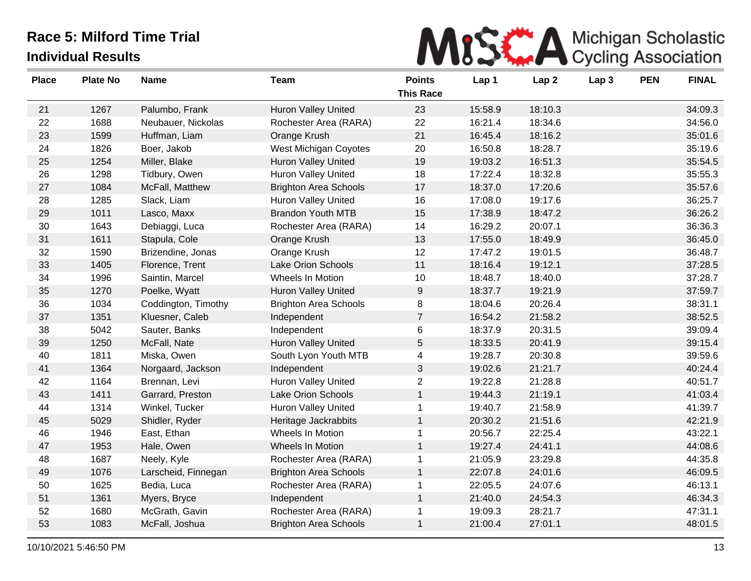

| <b>Place</b> | <b>Plate No</b> | <b>Name</b>         | <b>Team</b>                  | <b>Points</b>    | Lap 1   | Lap <sub>2</sub> | Lap 3 | <b>PEN</b> | <b>FINAL</b> |
|--------------|-----------------|---------------------|------------------------------|------------------|---------|------------------|-------|------------|--------------|
|              |                 |                     |                              | <b>This Race</b> |         |                  |       |            |              |
| 21           | 1267            | Palumbo, Frank      | Huron Valley United          | 23               | 15:58.9 | 18:10.3          |       |            | 34:09.3      |
| 22           | 1688            | Neubauer, Nickolas  | Rochester Area (RARA)        | 22               | 16:21.4 | 18:34.6          |       |            | 34:56.0      |
| 23           | 1599            | Huffman, Liam       | Orange Krush                 | 21               | 16:45.4 | 18:16.2          |       |            | 35:01.6      |
| 24           | 1826            | Boer, Jakob         | West Michigan Coyotes        | 20               | 16:50.8 | 18:28.7          |       |            | 35:19.6      |
| 25           | 1254            | Miller, Blake       | <b>Huron Valley United</b>   | 19               | 19:03.2 | 16:51.3          |       |            | 35:54.5      |
| 26           | 1298            | Tidbury, Owen       | Huron Valley United          | 18               | 17:22.4 | 18:32.8          |       |            | 35:55.3      |
| 27           | 1084            | McFall, Matthew     | <b>Brighton Area Schools</b> | 17               | 18:37.0 | 17:20.6          |       |            | 35:57.6      |
| 28           | 1285            | Slack, Liam         | <b>Huron Valley United</b>   | 16               | 17:08.0 | 19:17.6          |       |            | 36:25.7      |
| 29           | 1011            | Lasco, Maxx         | <b>Brandon Youth MTB</b>     | 15               | 17:38.9 | 18:47.2          |       |            | 36:26.2      |
| 30           | 1643            | Debiaggi, Luca      | Rochester Area (RARA)        | 14               | 16:29.2 | 20:07.1          |       |            | 36:36.3      |
| 31           | 1611            | Stapula, Cole       | Orange Krush                 | 13               | 17:55.0 | 18:49.9          |       |            | 36:45.0      |
| 32           | 1590            | Brizendine, Jonas   | Orange Krush                 | 12               | 17:47.2 | 19:01.5          |       |            | 36:48.7      |
| 33           | 1405            | Florence, Trent     | Lake Orion Schools           | 11               | 18:16.4 | 19:12.1          |       |            | 37:28.5      |
| 34           | 1996            | Saintin, Marcel     | Wheels In Motion             | 10               | 18:48.7 | 18:40.0          |       |            | 37:28.7      |
| 35           | 1270            | Poelke, Wyatt       | <b>Huron Valley United</b>   | $9\,$            | 18:37.7 | 19:21.9          |       |            | 37:59.7      |
| 36           | 1034            | Coddington, Timothy | <b>Brighton Area Schools</b> | 8                | 18:04.6 | 20:26.4          |       |            | 38:31.1      |
| 37           | 1351            | Kluesner, Caleb     | Independent                  | $\overline{7}$   | 16:54.2 | 21:58.2          |       |            | 38:52.5      |
| 38           | 5042            | Sauter, Banks       | Independent                  | 6                | 18:37.9 | 20:31.5          |       |            | 39:09.4      |
| 39           | 1250            | McFall, Nate        | <b>Huron Valley United</b>   | 5                | 18:33.5 | 20:41.9          |       |            | 39:15.4      |
| 40           | 1811            | Miska, Owen         | South Lyon Youth MTB         | $\overline{4}$   | 19:28.7 | 20:30.8          |       |            | 39:59.6      |
| 41           | 1364            | Norgaard, Jackson   | Independent                  | 3                | 19:02.6 | 21:21.7          |       |            | 40:24.4      |
| 42           | 1164            | Brennan, Levi       | <b>Huron Valley United</b>   | $\overline{2}$   | 19:22.8 | 21:28.8          |       |            | 40:51.7      |
| 43           | 1411            | Garrard, Preston    | Lake Orion Schools           | $\mathbf{1}$     | 19:44.3 | 21:19.1          |       |            | 41:03.4      |
| 44           | 1314            | Winkel, Tucker      | <b>Huron Valley United</b>   | 1                | 19:40.7 | 21:58.9          |       |            | 41:39.7      |
| 45           | 5029            | Shidler, Ryder      | Heritage Jackrabbits         | $\mathbf{1}$     | 20:30.2 | 21:51.6          |       |            | 42:21.9      |
| 46           | 1946            | East, Ethan         | Wheels In Motion             | $\mathbf{1}$     | 20:56.7 | 22:25.4          |       |            | 43:22.1      |
| 47           | 1953            | Hale, Owen          | Wheels In Motion             | $\mathbf{1}$     | 19:27.4 | 24:41.1          |       |            | 44:08.6      |
| 48           | 1687            | Neely, Kyle         | Rochester Area (RARA)        | 1                | 21:05.9 | 23:29.8          |       |            | 44:35.8      |
| 49           | 1076            | Larscheid, Finnegan | <b>Brighton Area Schools</b> | $\mathbf{1}$     | 22:07.8 | 24:01.6          |       |            | 46:09.5      |
| 50           | 1625            | Bedia, Luca         | Rochester Area (RARA)        | 1                | 22:05.5 | 24:07.6          |       |            | 46:13.1      |
| 51           | 1361            | Myers, Bryce        | Independent                  | $\mathbf{1}$     | 21:40.0 | 24:54.3          |       |            | 46:34.3      |
| 52           | 1680            | McGrath, Gavin      | Rochester Area (RARA)        | 1                | 19:09.3 | 28:21.7          |       |            | 47:31.1      |
| 53           | 1083            | McFall, Joshua      | <b>Brighton Area Schools</b> | 1                | 21:00.4 | 27:01.1          |       |            | 48:01.5      |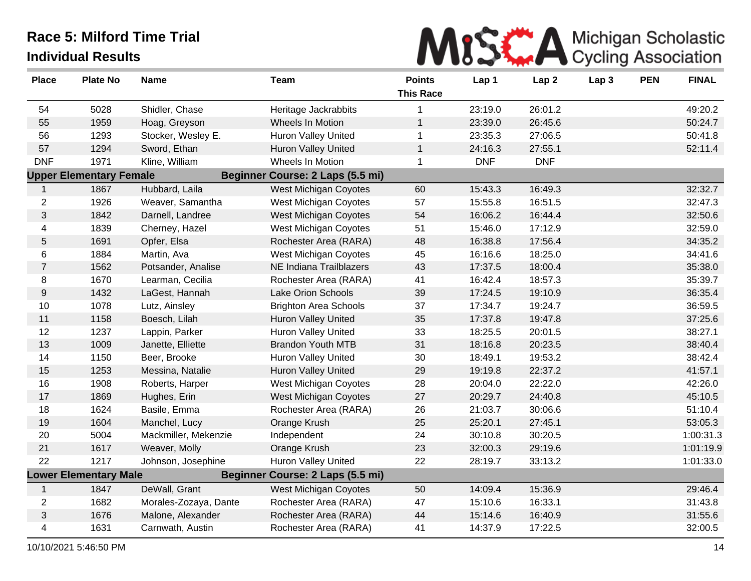

| <b>Place</b>   | <b>Plate No</b>                | <b>Name</b>           | <b>Team</b>                      | <b>Points</b><br><b>This Race</b> | Lap 1      | Lap <sub>2</sub> | Lap <sub>3</sub> | <b>PEN</b> | <b>FINAL</b> |
|----------------|--------------------------------|-----------------------|----------------------------------|-----------------------------------|------------|------------------|------------------|------------|--------------|
| 54             | 5028                           | Shidler, Chase        | Heritage Jackrabbits             | 1                                 | 23:19.0    | 26:01.2          |                  |            | 49:20.2      |
| 55             | 1959                           | Hoag, Greyson         | Wheels In Motion                 | $\mathbf{1}$                      | 23:39.0    | 26:45.6          |                  |            | 50:24.7      |
| 56             | 1293                           | Stocker, Wesley E.    | <b>Huron Valley United</b>       | $\mathbf{1}$                      | 23:35.3    | 27:06.5          |                  |            | 50:41.8      |
| 57             | 1294                           | Sword, Ethan          | <b>Huron Valley United</b>       | $\mathbf{1}$                      | 24:16.3    | 27:55.1          |                  |            | 52:11.4      |
| <b>DNF</b>     | 1971                           | Kline, William        | Wheels In Motion                 | $\mathbf{1}$                      | <b>DNF</b> | <b>DNF</b>       |                  |            |              |
|                | <b>Upper Elementary Female</b> |                       | Beginner Course: 2 Laps (5.5 mi) |                                   |            |                  |                  |            |              |
| $\mathbf{1}$   | 1867                           | Hubbard, Laila        | <b>West Michigan Coyotes</b>     | 60                                | 15:43.3    | 16:49.3          |                  |            | 32:32.7      |
| $\overline{2}$ | 1926                           | Weaver, Samantha      | West Michigan Coyotes            | 57                                | 15:55.8    | 16:51.5          |                  |            | 32:47.3      |
| $\mathfrak{S}$ | 1842                           | Darnell, Landree      | West Michigan Coyotes            | 54                                | 16:06.2    | 16:44.4          |                  |            | 32:50.6      |
| 4              | 1839                           | Cherney, Hazel        | West Michigan Coyotes            | 51                                | 15:46.0    | 17:12.9          |                  |            | 32:59.0      |
| 5              | 1691                           | Opfer, Elsa           | Rochester Area (RARA)            | 48                                | 16:38.8    | 17:56.4          |                  |            | 34:35.2      |
| 6              | 1884                           | Martin, Ava           | <b>West Michigan Coyotes</b>     | 45                                | 16:16.6    | 18:25.0          |                  |            | 34:41.6      |
| $\overline{7}$ | 1562                           | Potsander, Analise    | NE Indiana Trailblazers          | 43                                | 17:37.5    | 18:00.4          |                  |            | 35:38.0      |
| 8              | 1670                           | Learman, Cecilia      | Rochester Area (RARA)            | 41                                | 16:42.4    | 18:57.3          |                  |            | 35:39.7      |
| 9              | 1432                           | LaGest, Hannah        | Lake Orion Schools               | 39                                | 17:24.5    | 19:10.9          |                  |            | 36:35.4      |
| 10             | 1078                           | Lutz, Ainsley         | <b>Brighton Area Schools</b>     | 37                                | 17:34.7    | 19:24.7          |                  |            | 36:59.5      |
| 11             | 1158                           | Boesch, Lilah         | <b>Huron Valley United</b>       | 35                                | 17:37.8    | 19:47.8          |                  |            | 37:25.6      |
| 12             | 1237                           | Lappin, Parker        | Huron Valley United              | 33                                | 18:25.5    | 20:01.5          |                  |            | 38:27.1      |
| 13             | 1009                           | Janette, Elliette     | <b>Brandon Youth MTB</b>         | 31                                | 18:16.8    | 20:23.5          |                  |            | 38:40.4      |
| 14             | 1150                           | Beer, Brooke          | <b>Huron Valley United</b>       | 30                                | 18:49.1    | 19:53.2          |                  |            | 38:42.4      |
| 15             | 1253                           | Messina, Natalie      | <b>Huron Valley United</b>       | 29                                | 19:19.8    | 22:37.2          |                  |            | 41:57.1      |
| 16             | 1908                           | Roberts, Harper       | West Michigan Coyotes            | 28                                | 20:04.0    | 22:22.0          |                  |            | 42:26.0      |
| 17             | 1869                           | Hughes, Erin          | West Michigan Coyotes            | 27                                | 20:29.7    | 24:40.8          |                  |            | 45:10.5      |
| 18             | 1624                           | Basile, Emma          | Rochester Area (RARA)            | 26                                | 21:03.7    | 30:06.6          |                  |            | 51:10.4      |
| 19             | 1604                           | Manchel, Lucy         | Orange Krush                     | 25                                | 25:20.1    | 27:45.1          |                  |            | 53:05.3      |
| 20             | 5004                           | Mackmiller, Mekenzie  | Independent                      | 24                                | 30:10.8    | 30:20.5          |                  |            | 1:00:31.3    |
| 21             | 1617                           | Weaver, Molly         | Orange Krush                     | 23                                | 32:00.3    | 29:19.6          |                  |            | 1:01:19.9    |
| 22             | 1217                           | Johnson, Josephine    | Huron Valley United              | 22                                | 28:19.7    | 33:13.2          |                  |            | 1:01:33.0    |
|                | <b>Lower Elementary Male</b>   |                       | Beginner Course: 2 Laps (5.5 mi) |                                   |            |                  |                  |            |              |
| $\mathbf{1}$   | 1847                           | DeWall, Grant         | <b>West Michigan Coyotes</b>     | 50                                | 14:09.4    | 15:36.9          |                  |            | 29:46.4      |
| $\overline{2}$ | 1682                           | Morales-Zozaya, Dante | Rochester Area (RARA)            | 47                                | 15:10.6    | 16:33.1          |                  |            | 31:43.8      |
| $\mathfrak{S}$ | 1676                           | Malone, Alexander     | Rochester Area (RARA)            | 44                                | 15:14.6    | 16:40.9          |                  |            | 31:55.6      |
| 4              | 1631                           | Carnwath, Austin      | Rochester Area (RARA)            | 41                                | 14:37.9    | 17:22.5          |                  |            | 32:00.5      |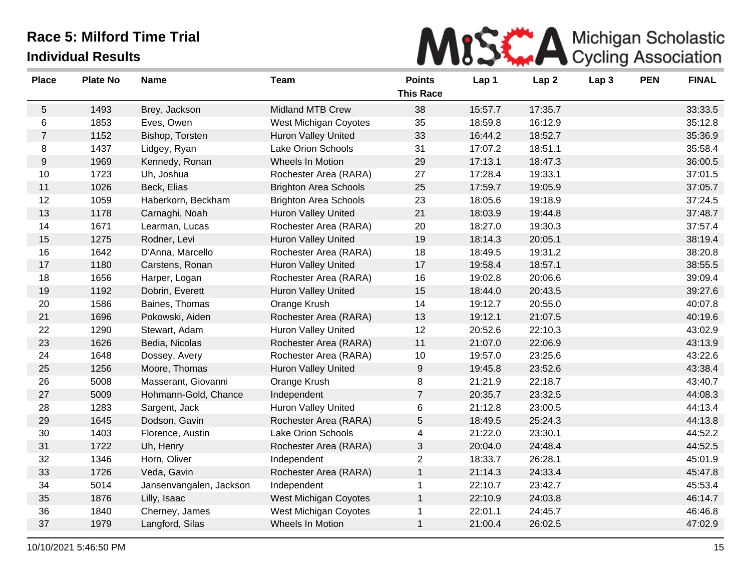

| <b>Place</b>     | <b>Plate No</b> | <b>Name</b>             | <b>Team</b>                  | <b>Points</b>    | Lap 1   | Lap <sub>2</sub> | Lap <sub>3</sub> | <b>PEN</b> | <b>FINAL</b> |
|------------------|-----------------|-------------------------|------------------------------|------------------|---------|------------------|------------------|------------|--------------|
|                  |                 |                         |                              | <b>This Race</b> |         |                  |                  |            |              |
| $\sqrt{5}$       | 1493            | Brey, Jackson           | <b>Midland MTB Crew</b>      | 38               | 15:57.7 | 17:35.7          |                  |            | 33:33.5      |
| 6                | 1853            | Eves, Owen              | West Michigan Coyotes        | 35               | 18:59.8 | 16:12.9          |                  |            | 35:12.8      |
| $\overline{7}$   | 1152            | Bishop, Torsten         | Huron Valley United          | 33               | 16:44.2 | 18:52.7          |                  |            | 35:36.9      |
| 8                | 1437            | Lidgey, Ryan            | Lake Orion Schools           | 31               | 17:07.2 | 18:51.1          |                  |            | 35:58.4      |
| $\boldsymbol{9}$ | 1969            | Kennedy, Ronan          | Wheels In Motion             | 29               | 17:13.1 | 18:47.3          |                  |            | 36:00.5      |
| 10               | 1723            | Uh, Joshua              | Rochester Area (RARA)        | 27               | 17:28.4 | 19:33.1          |                  |            | 37:01.5      |
| 11               | 1026            | Beck, Elias             | <b>Brighton Area Schools</b> | 25               | 17:59.7 | 19:05.9          |                  |            | 37:05.7      |
| 12               | 1059            | Haberkorn, Beckham      | <b>Brighton Area Schools</b> | 23               | 18:05.6 | 19:18.9          |                  |            | 37:24.5      |
| 13               | 1178            | Carnaghi, Noah          | <b>Huron Valley United</b>   | 21               | 18:03.9 | 19:44.8          |                  |            | 37:48.7      |
| 14               | 1671            | Learman, Lucas          | Rochester Area (RARA)        | 20               | 18:27.0 | 19:30.3          |                  |            | 37:57.4      |
| 15               | 1275            | Rodner, Levi            | Huron Valley United          | 19               | 18:14.3 | 20:05.1          |                  |            | 38:19.4      |
| 16               | 1642            | D'Anna, Marcello        | Rochester Area (RARA)        | 18               | 18:49.5 | 19:31.2          |                  |            | 38:20.8      |
| 17               | 1180            | Carstens, Ronan         | Huron Valley United          | 17               | 19:58.4 | 18:57.1          |                  |            | 38:55.5      |
| 18               | 1656            | Harper, Logan           | Rochester Area (RARA)        | 16               | 19:02.8 | 20:06.6          |                  |            | 39:09.4      |
| 19               | 1192            | Dobrin, Everett         | Huron Valley United          | 15               | 18:44.0 | 20:43.5          |                  |            | 39:27.6      |
| 20               | 1586            | Baines, Thomas          | Orange Krush                 | 14               | 19:12.7 | 20:55.0          |                  |            | 40:07.8      |
| 21               | 1696            | Pokowski, Aiden         | Rochester Area (RARA)        | 13               | 19:12.1 | 21:07.5          |                  |            | 40:19.6      |
| 22               | 1290            | Stewart, Adam           | <b>Huron Valley United</b>   | 12               | 20:52.6 | 22:10.3          |                  |            | 43:02.9      |
| 23               | 1626            | Bedia, Nicolas          | Rochester Area (RARA)        | 11               | 21:07.0 | 22:06.9          |                  |            | 43:13.9      |
| 24               | 1648            | Dossey, Avery           | Rochester Area (RARA)        | 10               | 19:57.0 | 23:25.6          |                  |            | 43:22.6      |
| 25               | 1256            | Moore, Thomas           | Huron Valley United          | $\boldsymbol{9}$ | 19:45.8 | 23:52.6          |                  |            | 43:38.4      |
| 26               | 5008            | Masserant, Giovanni     | Orange Krush                 | 8                | 21:21.9 | 22:18.7          |                  |            | 43:40.7      |
| 27               | 5009            | Hohmann-Gold, Chance    | Independent                  | $\overline{7}$   | 20:35.7 | 23:32.5          |                  |            | 44:08.3      |
| 28               | 1283            | Sargent, Jack           | <b>Huron Valley United</b>   | 6                | 21:12.8 | 23:00.5          |                  |            | 44:13.4      |
| 29               | 1645            | Dodson, Gavin           | Rochester Area (RARA)        | 5                | 18:49.5 | 25:24.3          |                  |            | 44:13.8      |
| 30               | 1403            | Florence, Austin        | <b>Lake Orion Schools</b>    | 4                | 21:22.0 | 23:30.1          |                  |            | 44:52.2      |
| 31               | 1722            | Uh, Henry               | Rochester Area (RARA)        | 3                | 20:04.0 | 24:48.4          |                  |            | 44:52.5      |
| 32               | 1346            | Horn, Oliver            | Independent                  | $\overline{2}$   | 18:33.7 | 26:28.1          |                  |            | 45:01.9      |
| 33               | 1726            | Veda, Gavin             | Rochester Area (RARA)        | $\mathbf{1}$     | 21:14.3 | 24:33.4          |                  |            | 45:47.8      |
| 34               | 5014            | Jansenvangalen, Jackson | Independent                  | $\mathbf{1}$     | 22:10.7 | 23:42.7          |                  |            | 45:53.4      |
| 35               | 1876            | Lilly, Isaac            | West Michigan Coyotes        | $\mathbf{1}$     | 22:10.9 | 24:03.8          |                  |            | 46:14.7      |
| 36               | 1840            | Cherney, James          | West Michigan Coyotes        | 1                | 22:01.1 | 24:45.7          |                  |            | 46:46.8      |
| 37               | 1979            | Langford, Silas         | Wheels In Motion             | 1                | 21:00.4 | 26:02.5          |                  |            | 47:02.9      |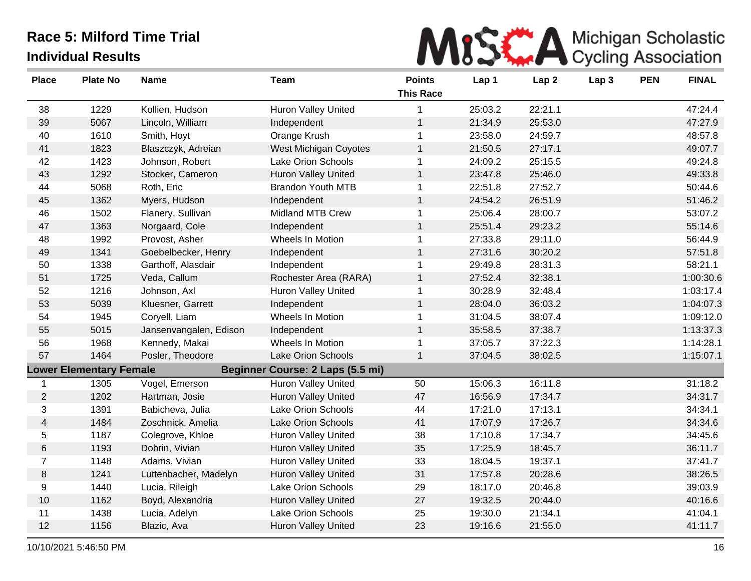

| <b>Place</b>   | <b>Plate No</b>                | <b>Name</b>            | <b>Team</b>                      | <b>Points</b><br><b>This Race</b> | Lap 1   | Lap <sub>2</sub> | Lap <sub>3</sub> | <b>PEN</b> | <b>FINAL</b> |
|----------------|--------------------------------|------------------------|----------------------------------|-----------------------------------|---------|------------------|------------------|------------|--------------|
| 38             | 1229                           | Kollien, Hudson        | <b>Huron Valley United</b>       | 1                                 | 25:03.2 | 22:21.1          |                  |            | 47:24.4      |
| 39             | 5067                           | Lincoln, William       | Independent                      | $\mathbf{1}$                      | 21:34.9 | 25:53.0          |                  |            | 47:27.9      |
| 40             | 1610                           | Smith, Hoyt            | Orange Krush                     | 1                                 | 23:58.0 | 24:59.7          |                  |            | 48:57.8      |
| 41             | 1823                           | Blaszczyk, Adreian     | West Michigan Coyotes            | $\mathbf{1}$                      | 21:50.5 | 27:17.1          |                  |            | 49:07.7      |
| 42             | 1423                           | Johnson, Robert        | Lake Orion Schools               | $\mathbf{1}$                      | 24:09.2 | 25:15.5          |                  |            | 49:24.8      |
| 43             | 1292                           | Stocker, Cameron       | Huron Valley United              | $\mathbf{1}$                      | 23:47.8 | 25:46.0          |                  |            | 49:33.8      |
| 44             | 5068                           | Roth, Eric             | <b>Brandon Youth MTB</b>         | 1                                 | 22:51.8 | 27:52.7          |                  |            | 50:44.6      |
| 45             | 1362                           | Myers, Hudson          | Independent                      | $\mathbf{1}$                      | 24:54.2 | 26:51.9          |                  |            | 51:46.2      |
| 46             | 1502                           | Flanery, Sullivan      | Midland MTB Crew                 | $\mathbf{1}$                      | 25:06.4 | 28:00.7          |                  |            | 53:07.2      |
| 47             | 1363                           | Norgaard, Cole         | Independent                      | $\mathbf{1}$                      | 25:51.4 | 29:23.2          |                  |            | 55:14.6      |
| 48             | 1992                           | Provost, Asher         | Wheels In Motion                 | $\mathbf 1$                       | 27:33.8 | 29:11.0          |                  |            | 56:44.9      |
| 49             | 1341                           | Goebelbecker, Henry    | Independent                      | $\mathbf{1}$                      | 27:31.6 | 30:20.2          |                  |            | 57:51.8      |
| 50             | 1338                           | Garthoff, Alasdair     | Independent                      | $\mathbf{1}$                      | 29:49.8 | 28:31.3          |                  |            | 58:21.1      |
| 51             | 1725                           | Veda, Callum           | Rochester Area (RARA)            | $\mathbf{1}$                      | 27:52.4 | 32:38.1          |                  |            | 1:00:30.6    |
| 52             | 1216                           | Johnson, Axl           | Huron Valley United              | 1                                 | 30:28.9 | 32:48.4          |                  |            | 1:03:17.4    |
| 53             | 5039                           | Kluesner, Garrett      | Independent                      | $\mathbf{1}$                      | 28:04.0 | 36:03.2          |                  |            | 1:04:07.3    |
| 54             | 1945                           | Coryell, Liam          | Wheels In Motion                 | 1                                 | 31:04.5 | 38:07.4          |                  |            | 1:09:12.0    |
| 55             | 5015                           | Jansenvangalen, Edison | Independent                      | $\mathbf{1}$                      | 35:58.5 | 37:38.7          |                  |            | 1:13:37.3    |
| 56             | 1968                           | Kennedy, Makai         | Wheels In Motion                 | $\mathbf 1$                       | 37:05.7 | 37:22.3          |                  |            | 1:14:28.1    |
| 57             | 1464                           | Posler, Theodore       | <b>Lake Orion Schools</b>        | $\mathbf{1}$                      | 37:04.5 | 38:02.5          |                  |            | 1:15:07.1    |
|                | <b>Lower Elementary Female</b> |                        | Beginner Course: 2 Laps (5.5 mi) |                                   |         |                  |                  |            |              |
| -1             | 1305                           | Vogel, Emerson         | Huron Valley United              | 50                                | 15:06.3 | 16:11.8          |                  |            | 31:18.2      |
| $\overline{2}$ | 1202                           | Hartman, Josie         | Huron Valley United              | 47                                | 16:56.9 | 17:34.7          |                  |            | 34:31.7      |
| 3              | 1391                           | Babicheva, Julia       | Lake Orion Schools               | 44                                | 17:21.0 | 17:13.1          |                  |            | 34:34.1      |
| 4              | 1484                           | Zoschnick, Amelia      | Lake Orion Schools               | 41                                | 17:07.9 | 17:26.7          |                  |            | 34:34.6      |
| 5              | 1187                           | Colegrove, Khloe       | Huron Valley United              | 38                                | 17:10.8 | 17:34.7          |                  |            | 34:45.6      |
| 6              | 1193                           | Dobrin, Vivian         | <b>Huron Valley United</b>       | 35                                | 17:25.9 | 18:45.7          |                  |            | 36:11.7      |
| $\overline{7}$ | 1148                           | Adams, Vivian          | <b>Huron Valley United</b>       | 33                                | 18:04.5 | 19:37.1          |                  |            | 37:41.7      |
| 8              | 1241                           | Luttenbacher, Madelyn  | Huron Valley United              | 31                                | 17:57.8 | 20:28.6          |                  |            | 38:26.5      |
| 9              | 1440                           | Lucia, Rileigh         | Lake Orion Schools               | 29                                | 18:17.0 | 20:46.8          |                  |            | 39:03.9      |
| 10             | 1162                           | Boyd, Alexandria       | Huron Valley United              | 27                                | 19:32.5 | 20:44.0          |                  |            | 40:16.6      |
| 11             | 1438                           | Lucia, Adelyn          | Lake Orion Schools               | 25                                | 19:30.0 | 21:34.1          |                  |            | 41:04.1      |
| 12             | 1156                           | Blazic, Ava            | <b>Huron Valley United</b>       | 23                                | 19:16.6 | 21:55.0          |                  |            | 41:11.7      |